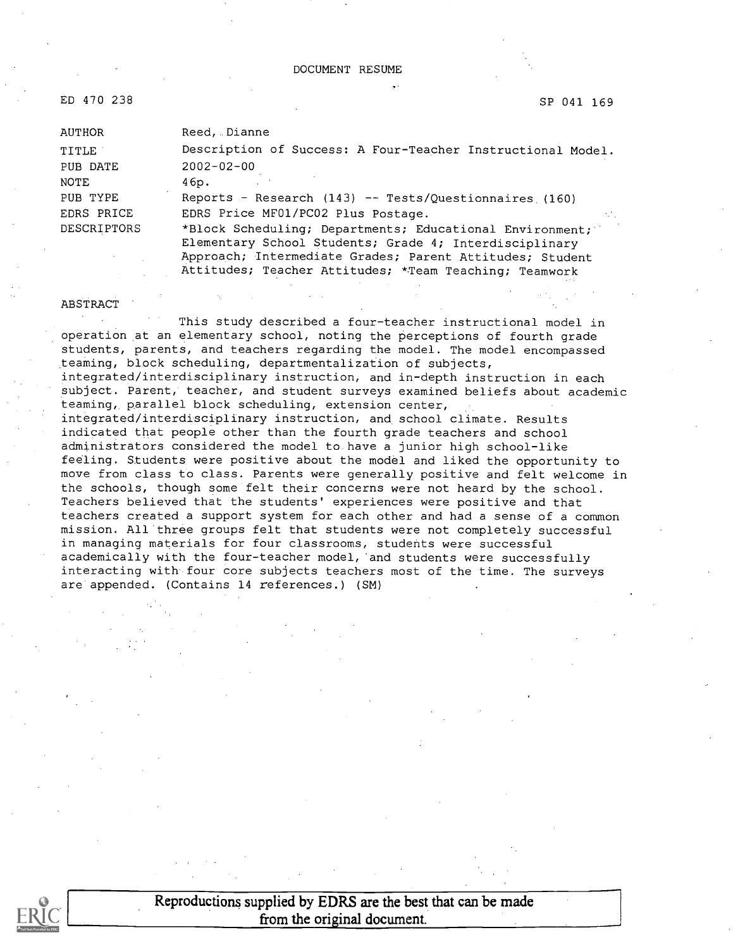#### DOCUMENT RESUME

ED 470 238 SP 041 169

| AUTHOR             | Reed, Dianne                                                |  |  |  |  |
|--------------------|-------------------------------------------------------------|--|--|--|--|
| TITLE              | Description of Success: A Four-Teacher Instructional Model. |  |  |  |  |
| PUB DATE           | $2002 - 02 - 00$                                            |  |  |  |  |
| NOTE               | 46p.                                                        |  |  |  |  |
| PUB TYPE           | Reports - Research (143) -- Tests/Questionnaires (160)      |  |  |  |  |
| EDRS PRICE         | EDRS Price MF01/PC02 Plus Postage.<br>A.                    |  |  |  |  |
| <b>DESCRIPTORS</b> | *Block Scheduling; Departments; Educational Environment;    |  |  |  |  |
|                    | Elementary School Students; Grade 4; Interdisciplinary      |  |  |  |  |
|                    | Approach; Intermediate Grades; Parent Attitudes; Student    |  |  |  |  |

Attitudes; Teacher Attitudes; \*.Team Teaching; Teamwork

#### ABSTRACT

This study described a four-teacher instructional model in operation at an elementary school, noting the perceptions of fourth grade students, parents, and teachers regarding the model. The model encompassed teaming, block scheduling, departmentalization of subjects, integrated/interdisciplinary instruction, and in-depth instruction in each subject. Parent, teacher, and student surveys examined beliefs about academic teaming,, parallel block scheduling, extension center, integrated/interdisciplinary instruction, and school climate. Results indicated that people other than the fourth grade teachers and school administrators considered the model to have a junior high school-like feeling. Students were positive about the model and liked the opportunity to move from class to class. Parents were generally positive and felt welcome in the schools, though some felt their concerns were not heard by the school. Teachers believed that the students' experiences were positive and that teachers created a support system for each other and had a sense of a common mission. All three groups felt that students were not completely successful in managing materials for four classrooms, students were successful academically with the four-teacher model, 'and students were successfully interacting with four core subjects teachers most of the time. The surveys are appended. (Contains 14 references.) (SM)



Reproductions supplied by EDRS are the best that can be made from the original document.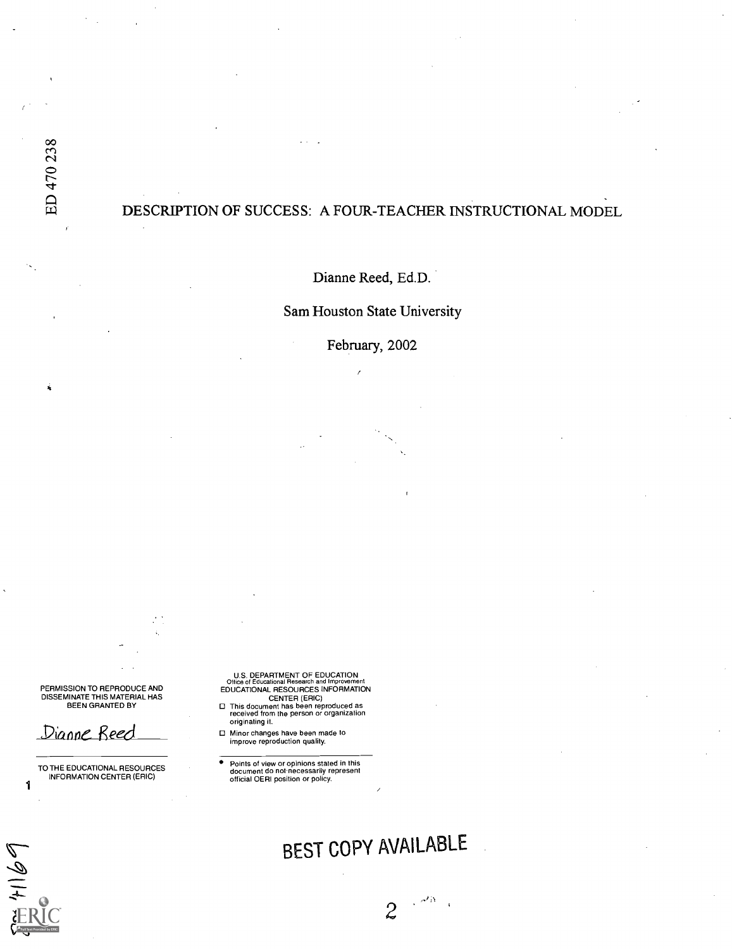ń

## DESCRIPTION OF SUCCESS: A FOUR-TEACHER INSTRUCTIONAL MODEL

Dianne Reed, Ed.D.

Sam Houston State University

February, 2002

PERMISSION TO REPRODUCE AND<br>DISSEMINATE THIS MATERIAL HAS<br>BEEN GRANTED BY

Dianne Reed

1

 $4169$ 

TO THE EDUCATIONAL RESOURCES INFORMATION CENTER (ERIC)

U.S. DEPARTMENT OF EDUCATION<br>Office of Educational Research and Improveme

- Office of Educational Research and Improvement<br>EDUCATIONAL RESOURCES INFORMATION<br>This document has been reproduced as<br>received from the person or organization originating it.
- Minor changes have been made to improve reproduction quality.

٠ Points of view or opinions stated in this document do not necessarily represent official OERI position or policy.

# BEST COPY AVAILABLE

2

 $\sim$   $\sigma^2 N_{\rm max}$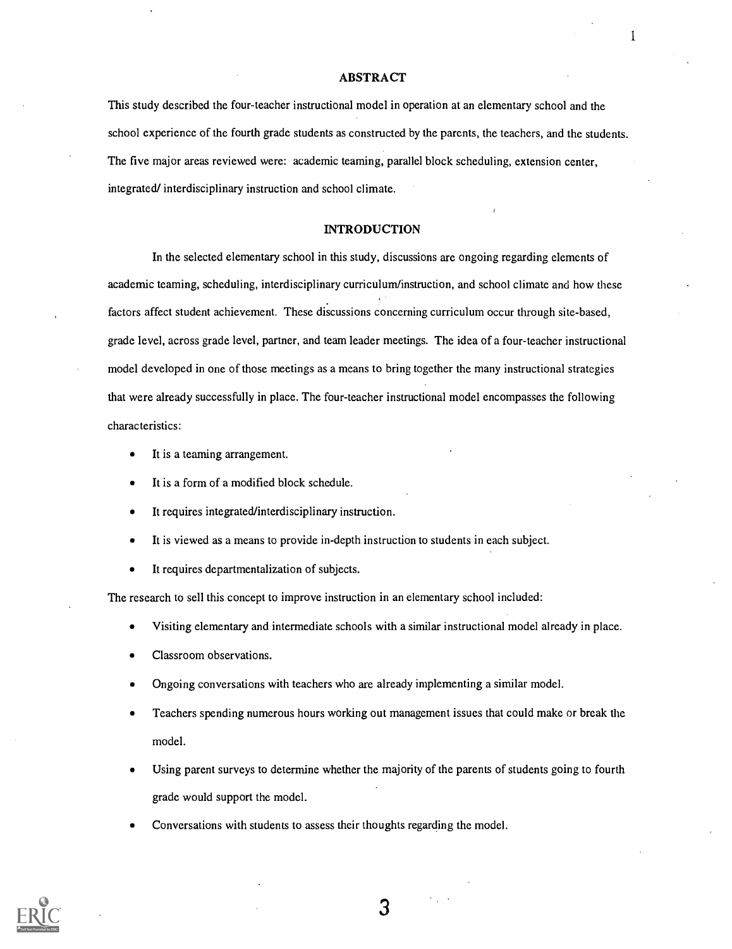#### ABSTRACT

1

This study described the four-teacher instructional model in operation at an elementary school and the school experience of the fourth grade students as constructed by the parents, the teachers, and the students. The five major areas reviewed were: academic teaming, parallel block scheduling, extension center, integrated/ interdisciplinary instruction and school climate.

#### INTRODUCTION

In the selected elementary school in this study, discussions are ongoing regarding elements of academic teaming, scheduling, interdisciplinary curriculum/instruction, and school climate and how these factors affect student achievement. These discussions concerning curriculum occur through site-based, grade level, across grade level, partner, and team leader meetings. The idea of a four-teacher instructional model developed in one of those meetings as a means to bring together the many instructional strategies that were already successfully in place. The four-teacher instructional model encompasses the following characteristics:

- It is a teaming arrangement.
- It is a form of a modified block schedule.
- It requires integrated/interdisciplinary instruction.  $\bullet$
- It is viewed as a means to provide in-depth instruction to students in each subject.  $\bullet$
- $\bullet$ It requires departmentalization of subjects.

The research to sell this concept to improve instruction in an elementary school included:

- Visiting elementary and intermediate schools with a similar instructional model already in place.
- Classroom observations.
- Ongoing conversations with teachers who are already implementing a similar model.
- Teachers spending numerous hours working out management issues that could make or break the model.
- Using parent surveys to determine whether the majority of the parents of students going to fourth grade would support the model.
- Conversations with students to assess their thoughts regarding the model.

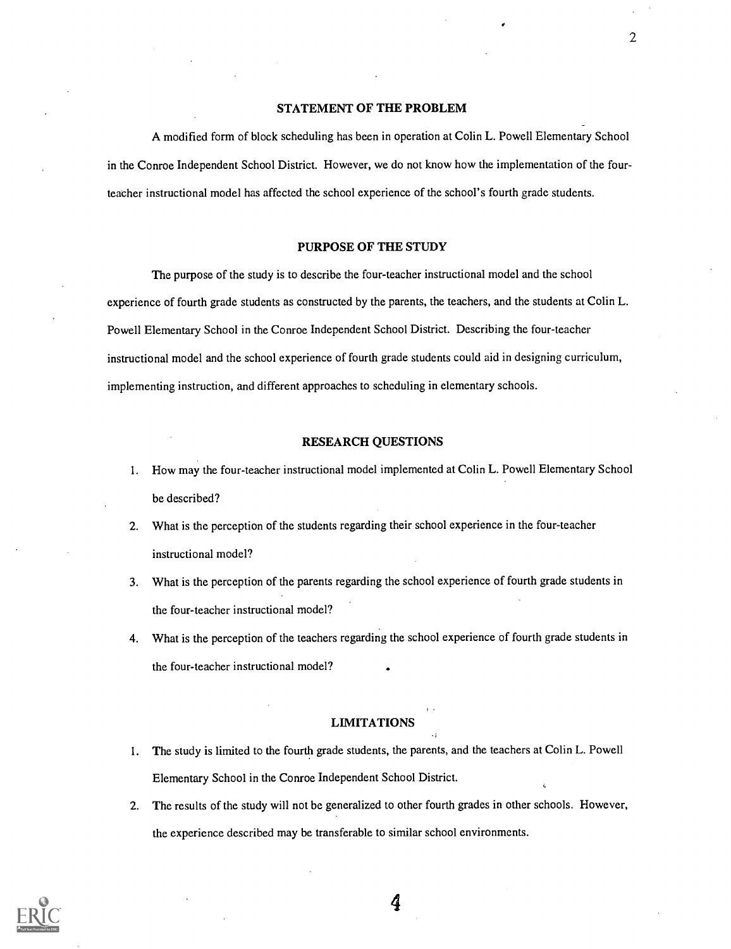#### STATEMENT OF THE PROBLEM

2

A modified form of block scheduling has been in operation at Colin L. Powell Elementary School in the Conroe Independent School District. However, we do not know how the implementation of the fourteacher instructional model has affected the school experience of the school's fourth grade students.

#### PURPOSE OF THE STUDY

The purpose of the study is to describe the four-teacher instructional model and the school experience of fourth grade students as constructed by the parents, the teachers, and the students at Colin L. Powell Elementary School in the Conroe Independent School District. Describing the four-teacher instructional model and the school experience of fourth grade students could aid in designing curriculum, implementing instruction, and different approaches to scheduling in elementary schools.

#### RESEARCH QUESTIONS

- 1. How may the four-teacher instructional model implemented at Colin L. Powell Elementary School be described?
- 2. What is the perception of the students regarding their school experience in the four-teacher instructional model?
- 3. What is the perception of the parents regarding the school experience of fourth grade students in the four-teacher instructional model?
- 4. What is the perception of the teachers regarding the school experience of fourth grade students in the four-teacher instructional model?

#### LIMITATIONS

- 1. The study is limited to the fourth grade students, the parents, and the teachers at Colin L. Powell Elementary School in the Conroe Independent School District.
- 2. The results of the study will not be generalized to other fourth grades in other schools. However, the experience described may be transferable to similar school environments.

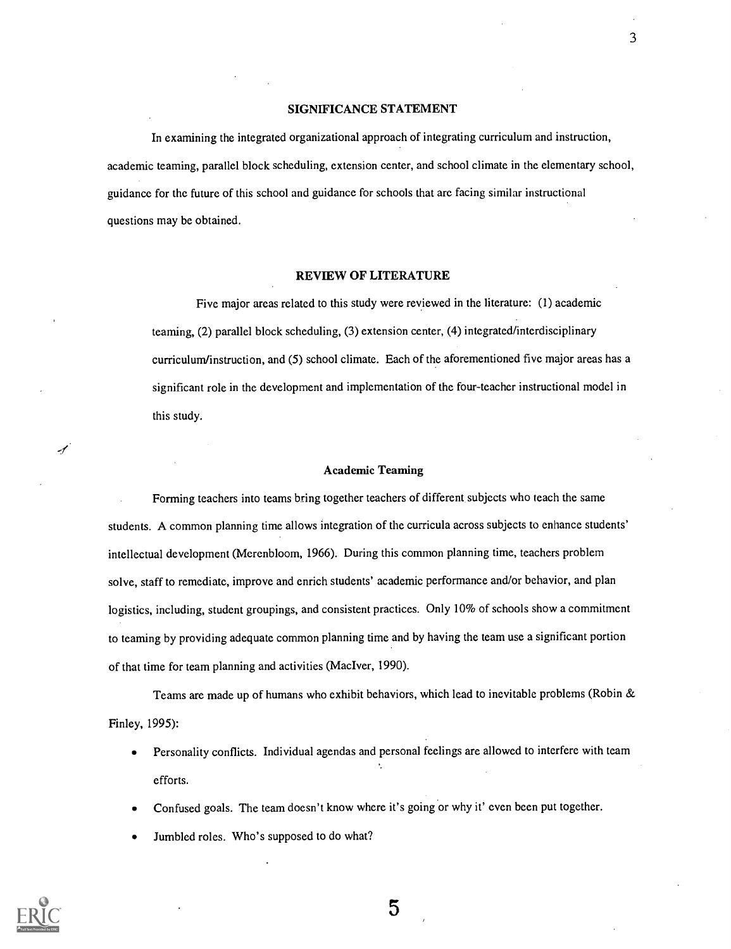#### SIGNIFICANCE STATEMENT

3

In examining the integrated organizational approach of integrating curriculum and instruction, academic teaming, parallel block scheduling, extension center, and school climate in the elementary school, guidance for the future of this school and guidance for schools that are facing similar instructional questions may be obtained.

#### REVIEW OF LITERATURE

Five major areas related to this study were reviewed in the literature: (1) academic teaming, (2) parallel block scheduling, (3) extension center, (4) integrated/interdisciplinary curriculum/instruction, and (5) school climate. Each of the aforementioned five major areas has a significant role in the development and implementation of the four-teacher instructional model in this study.

#### Academic Teaming

Forming teachers into teams bring together teachers of different subjects who teach the same students. A common planning time allows integration of the curricula across subjects to enhance students' intellectual development (Merenbloom, 1966). During this common planning time, teachers problem solve, staff to remediate, improve and enrich students' academic performance and/or behavior, and plan logistics, including, student groupings, and consistent practices. Only 10% of schools show a commitment to teaming by providing adequate common planning time and by having the team use a significant portion of that time for team planning and activities (MacIver, 1990).

Teams are made up of humans who exhibit behaviors, which lead to inevitable problems (Robin & Finley, 1995):

- Personality conflicts. Individual agendas and personal feelings are allowed to interfere with team  $\bullet$ efforts.
- Confused goals. The team doesn't know where it's going or why it' even been put together.
- Jumbled roles. Who's supposed to do what?

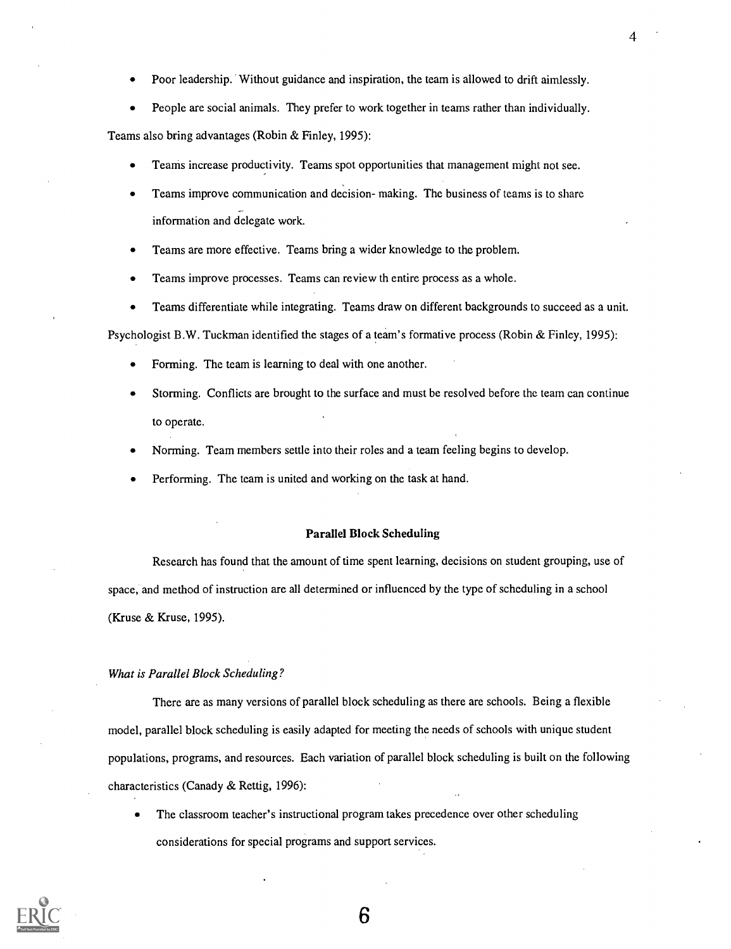- Poor leadership. Without guidance and inspiration, the team is allowed to drift aimlessly.
- People are social animals. They prefer to work together in teams rather than individually.

Teams also bring advantages (Robin & Finley, 1995):

- Teams increase productivity. Teams spot opportunities that management might not see.
- Teams improve communication and decision- making. The business of teams is to share information and delegate work.
- Teams are more effective. Teams bring a wider knowledge to the problem.
- Teams improve processes. Teams can review th entire process as a whole.
- Teams differentiate while integrating. Teams draw on different backgrounds to succeed as a unit.  $\bullet$

Psychologist B.W. Tuckman identified the stages of a team's formative process (Robin & Finley, 1995):

- Forming. The team is learning to deal with one another.
- Storming. Conflicts are brought to the surface and must be resolved before the team can continue to operate.
- Norming. Team members settle into their roles and a team feeling begins to develop.
- Performing. The team is united and working on the task at hand.

#### Parallel Block Scheduling

Research has found that the amount of time spent learning, decisions on student grouping, use of space, and method of instruction are all determined or influenced by the type of scheduling in a school (Kruse & Kruse, 1995).

#### What is Parallel Block Scheduling?

There are as many versions of parallel block scheduling as there are schools. Being a flexible model, parallel block scheduling is easily adapted for meeting the needs of schools with unique student populations, programs, and resources. Each variation of parallel block scheduling is built on the following characteristics (Canady & Rettig, 1996):

The classroom teacher's instructional program takes precedence over other scheduling considerations for special programs and support services.

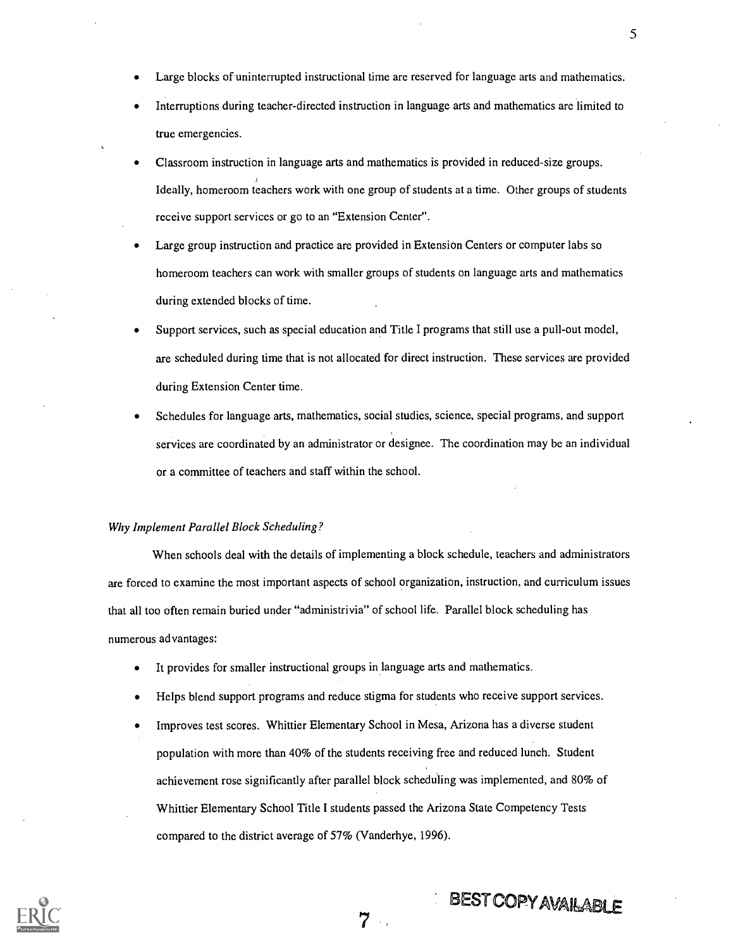- Large blocks of uninterrupted instructional time are reserved for language arts and mathematics.
- Interruptions during teacher-directed instruction in language arts and mathematics are limited to true emergencies.
- Classroom instruction in language arts and mathematics is provided in reduced-size groups. Ideally, homeroom teachers work with one group of students at a time. Other groups of students receive support services or go to an "Extension Center".
- Large group instruction and practice are provided in Extension Centers or computer labs so homeroom teachers can work with smaller groups of students on language arts and mathematics during extended blocks of time.
- Support services, such as special education and Title I programs that still use a pull-out model, are scheduled during time that is not allocated for direct instruction. These services are provided during Extension Center time.
- Schedules for language arts, mathematics, social studies, science, special programs, and support services are coordinated by an administrator or designee. The coordination may be an individual or a committee of teachers and staff within the school.

#### Why Implement Parallel Block Scheduling?

When schools deal with the details of implementing a block schedule, teachers and administrators are forced to examine the most important aspects of school organization, instruction, and curriculum issues that all too often remain buried under "administrivia" of school life. Parallel block scheduling has numerous advantages:

- It provides for smaller instructional groups in language arts and mathematics.
- Helps blend support programs and reduce stigma for students who receive support services.
- Improves test scores. Whittier Elementary School in Mesa, Arizona has a diverse student population with more than 40% of the students receiving free and reduced lunch. Student achievement rose significantly after parallel block scheduling was implemented, and 80% of Whittier Elementary School Title I students passed the Arizona State Competency Tests compared to the district average of 57% (Vanderhye, 1996).

7



# BEST COPY AVAILABLE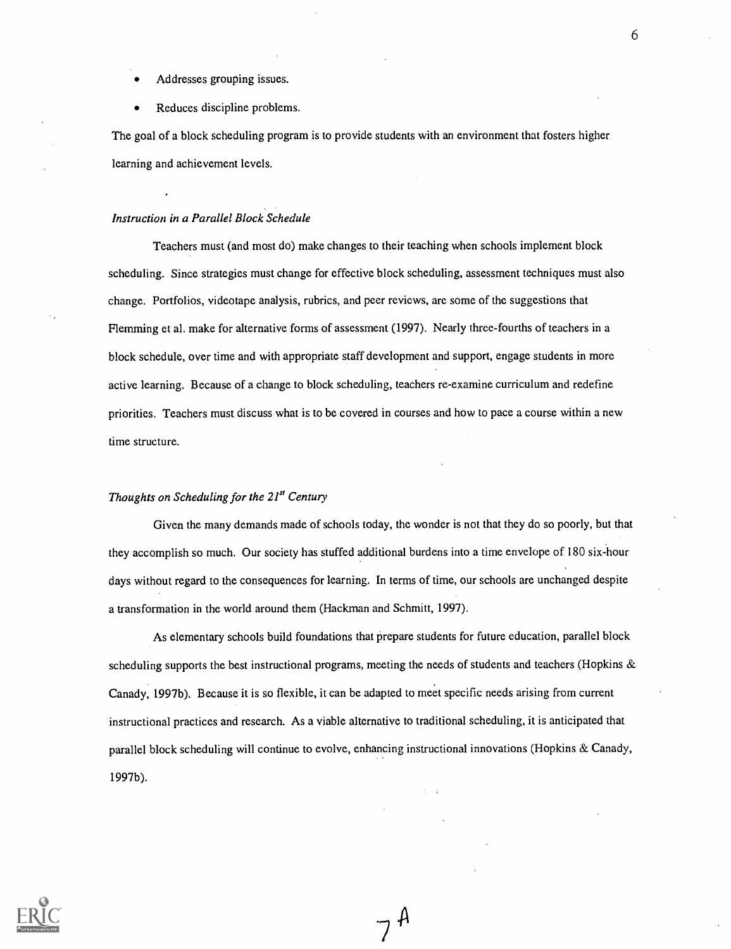- Addresses grouping issues.
- Reduces discipline problems.

The goal of a block scheduling program is to provide students with an environment that fosters higher learning and achievement levels.

#### Instruction in a Parallel Block Schedule

Teachers must (and most do) make changes to their teaching when schools implement block scheduling. Since strategies must change for effective block scheduling, assessment techniques must also change. Portfolios, videotape analysis, rubrics, and peer reviews, are some of the suggestions that Flemming et al. make for alternative forms of assessment (1997). Nearly three-fourths of teachers in a block schedule, over time and with appropriate staff development and support, engage students in more active learning. Because of a change to block scheduling, teachers re-examine curriculum and redefine priorities. Teachers must discuss what is to be covered in courses and how to pace a course within a new time structure.

#### Thoughts on Scheduling for the  $21<sup>st</sup>$  Century

Given the many demands made of schools today, the wonder is not that they do so poorly, but that they accomplish so much. Our society has stuffed additional burdens into a time envelope of 180 six-hour days without regard to the consequences for learning. In terms of time, our schools are unchanged despite a transformation in the world around them (Hackman and Schmitt, 1997).

As elementary schools build foundations that prepare students for future education, parallel block scheduling supports the best instructional programs, meeting the needs of students and teachers (Hopkins  $\&$ Canady, 1997b). Because it is so flexible, it can be adapted to meet specific needs arising from current instructional practices and research. As a viable alternative to traditional scheduling, it is anticipated that parallel block scheduling will continue to evolve, enhancing instructional innovations (Hopkins & Canady, 1997b).

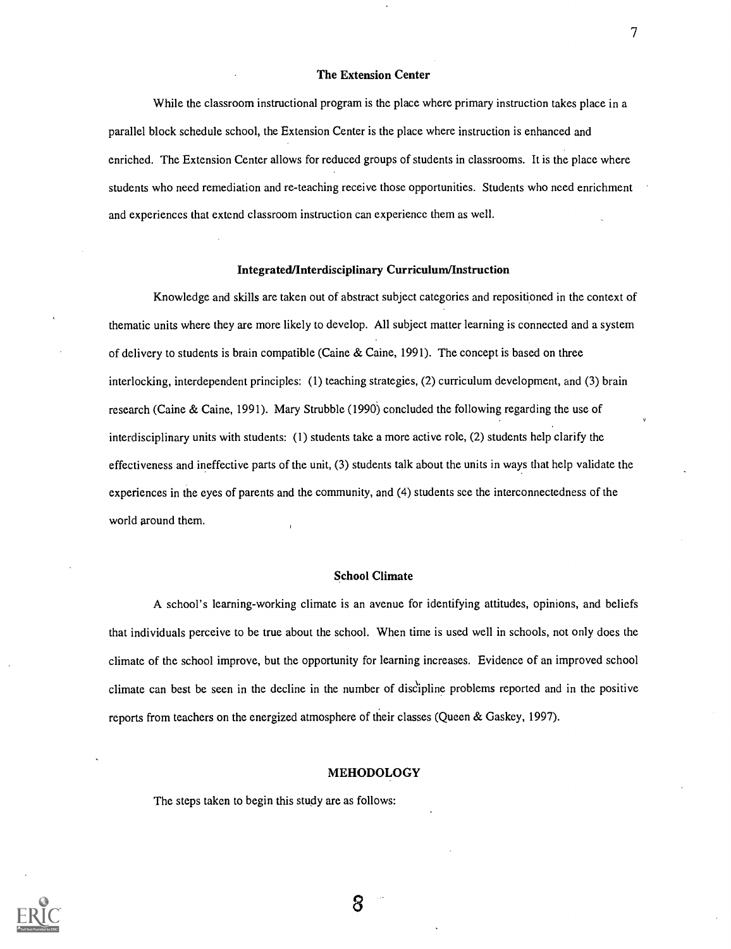#### The Extension Center

While the classroom instructional program is the place where primary instruction takes place in a parallel block schedule school, the Extension Center is the place where instruction is enhanced and enriched. The Extension Center allows for reduced groups of students in classrooms. It is the place where students who need remediation and re-teaching receive those opportunities. Students who need enrichment and experiences that extend classroom instruction can experience them as well.

#### Integrated/Interdisciplinary Curriculum/Instruction

Knowledge and skills are taken out of abstract subject categories and repositioned in the context of thematic units where they are more likely to develop. All subject matter learning is connected and a system of delivery to students is brain compatible (Caine & Caine, 1991). The concept is based on three interlocking, interdependent principles: (1) teaching strategies, (2) curriculum development, and (3) brain research (Caine & Caine, 1991). Mary Strubble (1990) concluded the following regarding the use of interdisciplinary units with students: (1) students take a more active role, (2) students help clarify the effectiveness and ineffective parts of the unit, (3) students talk about the units in ways that help validate the experiences in the eyes of parents and the community, and (4) students see the interconnectedness of the world around them.

#### School Climate

A school's learning-working climate is an avenue for identifying attitudes, opinions, and beliefs that individuals perceive to be true about the school. When time is used well in schools, not only does the climate of the school improve, but the opportunity for learning increases. Evidence of an improved school climate can best be seen in the decline in the number of disCipline problems reported and in the positive reports from teachers on the energized atmosphere of their classes (Queen & Gaskey, 1997).

#### MEHODOLOGY

The steps taken to begin this study are as follows:



7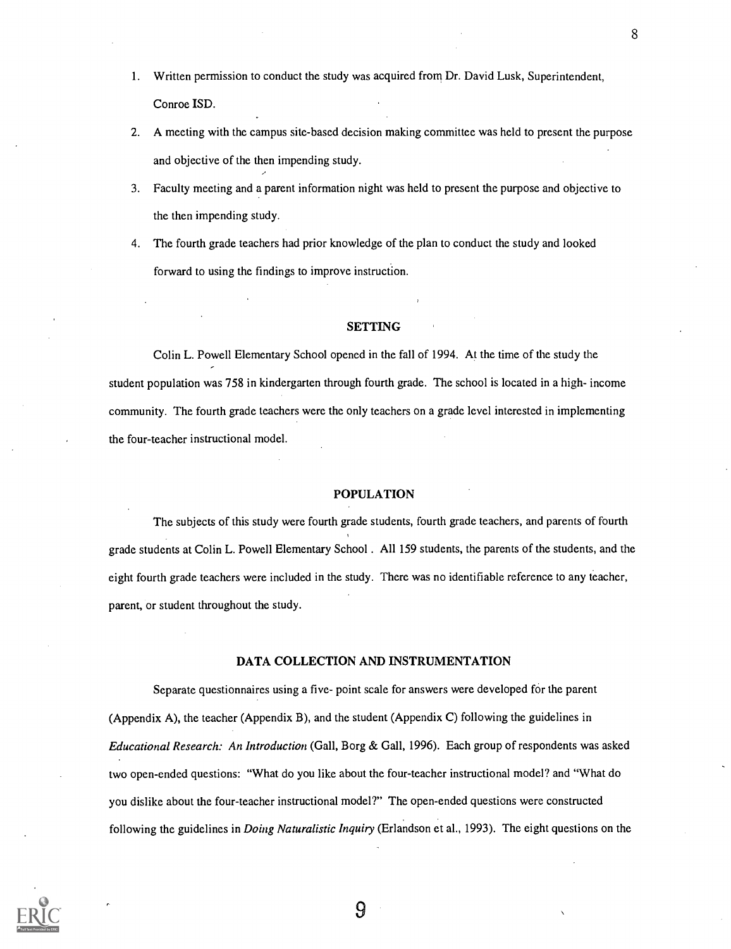- 1. Written permission to conduct the study was acquired from Dr. David Lusk, Superintendent, Conroe ISD.
- 2. A meeting with the campus site-based decision making committee was held to present the purpose and objective of the then impending study.
- 3. Faculty meeting and a parent information night was held to present the purpose and objective to the then impending study.
- 4. The fourth grade teachers had prior knowledge of the plan to conduct the study and looked forward to using the findings to improve instruction.

#### **SETTING**

Colin L. Powell Elementary School opened in the fall of 1994. At the time of the study the student population was 758 in kindergarten through fourth grade. The school is located in a high- income community. The fourth grade teachers were the only teachers on a grade level interested in implementing the four-teacher instructional model.

#### POPULATION

The subjects of this study were fourth grade students, fourth grade teachers, and parents of fourth grade students at Colin L. Powell Elementary School . All 159 students, the parents of the students, and the eight fourth grade teachers were included in the study. There was no identifiable reference to any teacher, parent, or student throughout the study.

#### DATA COLLECTION AND INSTRUMENTATION

Separate questionnaires using a five- point scale for answers were developed for the parent (Appendix A), the teacher (Appendix B), and the student (Appendix C) following the guidelines in Educational Research: An Introduction (Gall, Borg & Gall, 1996). Each group of respondents was asked two open-ended questions: "What do you like about the four-teacher instructional model? and "What do you dislike about the four-teacher instructional model?" The open-ended questions were constructed following the guidelines in *Doing Naturalistic Inquiry* (Erlandson et al., 1993). The eight questions on the

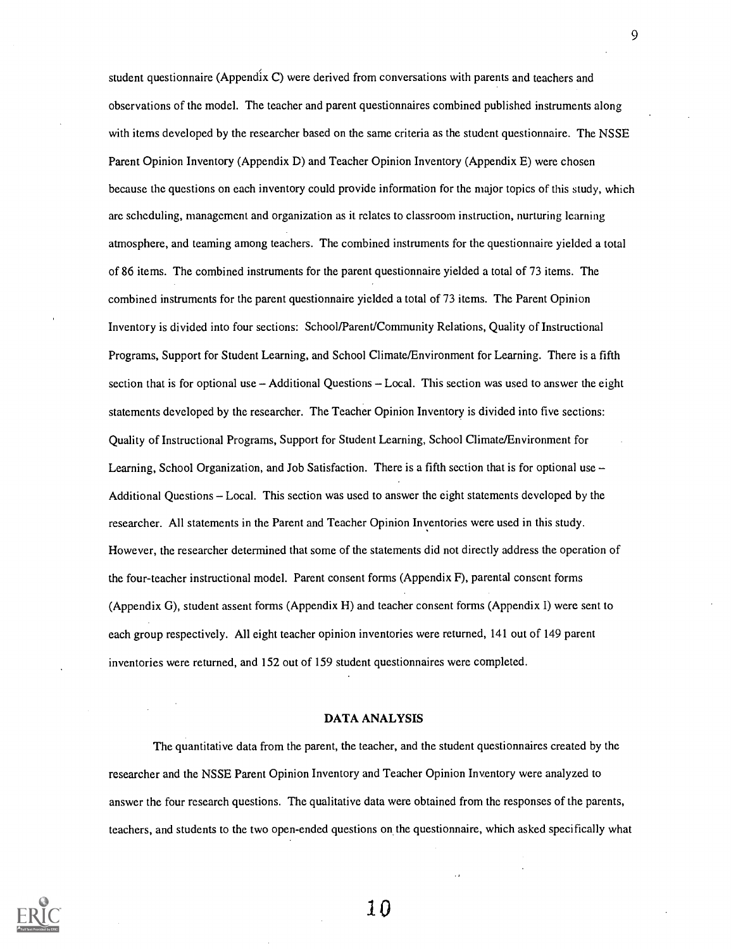student questionnaire (Appendix C) were derived from conversations with parents and teachers and observations of the model. The teacher and parent questionnaires combined published instruments along with items developed by the researcher based on the same criteria as the student questionnaire. The NSSE Parent Opinion Inventory (Appendix D) and Teacher Opinion Inventory (Appendix E) were chosen because the questions on each inventory could provide information for the major topics of this study, which arc scheduling, management and organization as it relates to classroom instruction, nurturing learning atmosphere, and teaming among teachers. The combined instruments for the questionnaire yielded a total of 86 items. The combined instruments for the parent questionnaire yielded a total of 73 items. The combined instruments for the parent questionnaire yielded a total of 73 items. The Parent Opinion Inventory is divided into four sections: School/Parent/Community Relations, Quality of Instructional Programs, Support for Student Learning, and School Climate/Environment for Learning. There is a fifth section that is for optional use  $-$  Additional Questions  $-$  Local. This section was used to answer the eight statements developed by the researcher. The Teacher Opinion Inventory is divided into five sections: Quality of Instructional Programs, Support for Student Learning, School Climate/Environment for Learning, School Organization, and Job Satisfaction. There is a fifth section that is for optional use  $-$ Additional Questions - Local. This section was used to answer the eight statements developed by the researcher. All statements in the Parent and Teacher Opinion Inventories were used in this study. However, the researcher determined that some of the statements did not directly address the operation of the four-teacher instructional model. Parent consent forms (Appendix F), parental consent forms (Appendix G), student assent forms (Appendix H) and teacher consent forms (Appendix I) were sent to each group respectively. All eight teacher opinion inventories were returned, 141 out of 149 parent inventories were returned, and 152 out of 159 student questionnaires were completed.

#### DATA ANALYSIS

The quantitative data from the parent, the teacher, and the student questionnaires created by the researcher and the NSSE Parent Opinion Inventory and Teacher Opinion Inventory were analyzed to answer the four research questions. The qualitative data were obtained from the responses of the parents, teachers, and students to the two open-ended questions on the questionnaire, which asked specifically what



9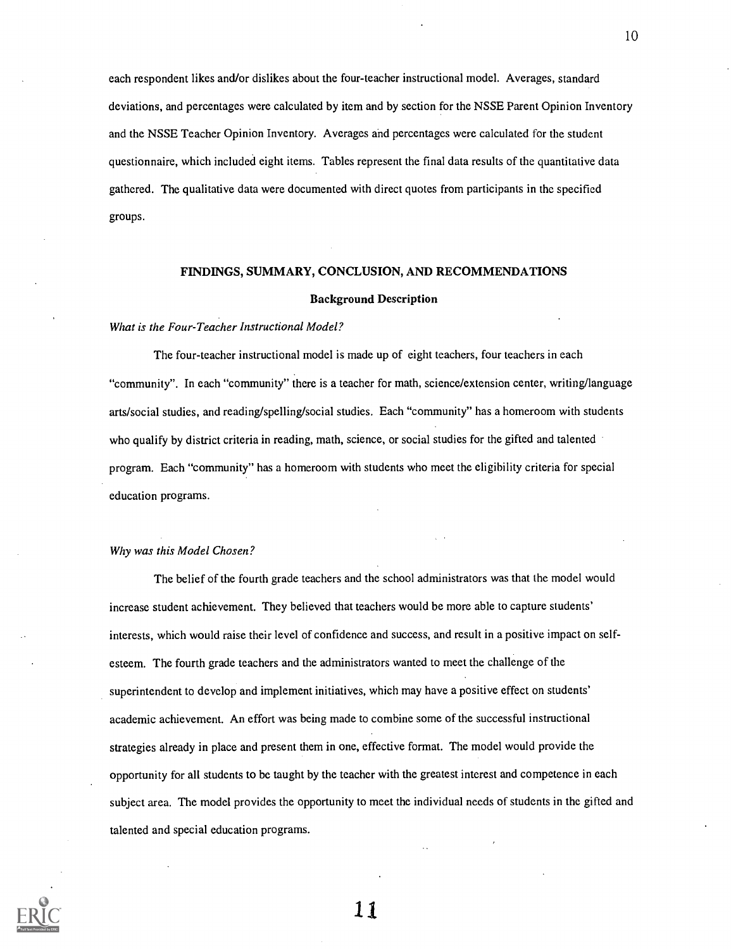each respondent likes and/or dislikes about the four-teacher instructional model. Averages, standard deviations, and percentages were calculated by item and by section for the NSSE Parent Opinion Inventory and the NSSE Teacher Opinion Inventory. Averages and percentages were calculated for the student questionnaire, which included eight items. Tables represent the final data results of the quantitative data gathered. The qualitative data were documented with direct quotes from participants in the specified groups.

#### FINDINGS, SUMMARY, CONCLUSION, AND RECOMMENDATIONS

#### Background Description

#### What is the Four-Teacher Instructional Model?

The four-teacher instructional model is made up of eight teachers, four teachers in each "community". In each "community" there is a teacher for math, science/extension center, writing/language arts/social studies, and reading/spelling/social studies. Each "community" has a homeroom with students who qualify by district criteria in reading, math, science, or social studies for the gifted and talented program. Each "community" has a homeroom with students who meet the eligibility criteria for special education programs.

#### Why was this Model Chosen?

The belief of the fourth grade teachers and the school administrators was that the model would increase student achievement. They believed that teachers would be more able to capture students' interests, which would raise their level of confidence and success, and result in a positive impact on selfesteem. The fourth grade teachers and the administrators wanted to meet the challenge of the superintendent to develop and implement initiatives, which may have a positive effect on students' academic achievement. An effort was being made to combine some of the successful instructional strategies already in place and present them in one, effective format. The model would provide the opportunity for all students to be taught by the teacher with the greatest interest and competence in each subject area. The model provides the opportunity to meet the individual needs of students in the gifted and talented and special education programs.

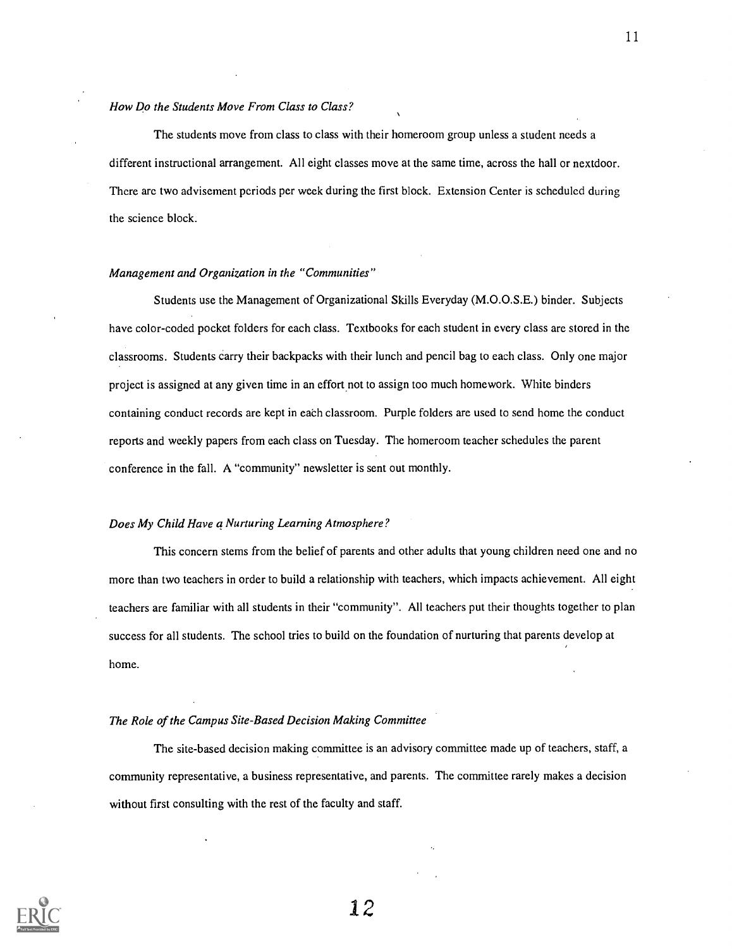#### How Do the Students Move From Class to Class?

The students move from class to class with their homeroom group unless a student needs a different instructional arrangement. All eight classes move at the same time, across the hall or nextdoor. There arc two advisement periods per week during the first block. Extension Center is scheduled during the science block.

#### Management and Organization in the "Communities"

Students use the Management of Organizational Skills Everyday (M.O.O.S.E.) binder. Subjects have color-coded pocket folders for each class. Textbooks for each student in every class are stored in the classrooms. Students carry their backpacks with their lunch and pencil bag to each class. Only one major project is assigned at any given time in an effort not to assign too much homework. White binders containing conduct records are kept in each classroom. Purple folders are used to send home the conduct reports and weekly papers from each class on Tuesday. The homeroom teacher schedules the parent conference in the fall. A "community" newsletter is sent out monthly.

#### Does My Child Have a Nurturing Learning Atmosphere?

This concern stems from the belief of parents and other adults that young children need one and no more than two teachers in order to build a relationship with teachers, which impacts achievement. All eight teachers are familiar with all students in their "community". All teachers put their thoughts together to plan success for all students. The school tries to build on the foundation of nurturing that parents develop at home.

#### The Role of the Campus Site-Based Decision Making Committee

The site-based decision making committee is an advisory committee made up of teachers, staff, a community representative, a business representative, and parents. The committee rarely makes a decision without first consulting with the rest of the faculty and staff.

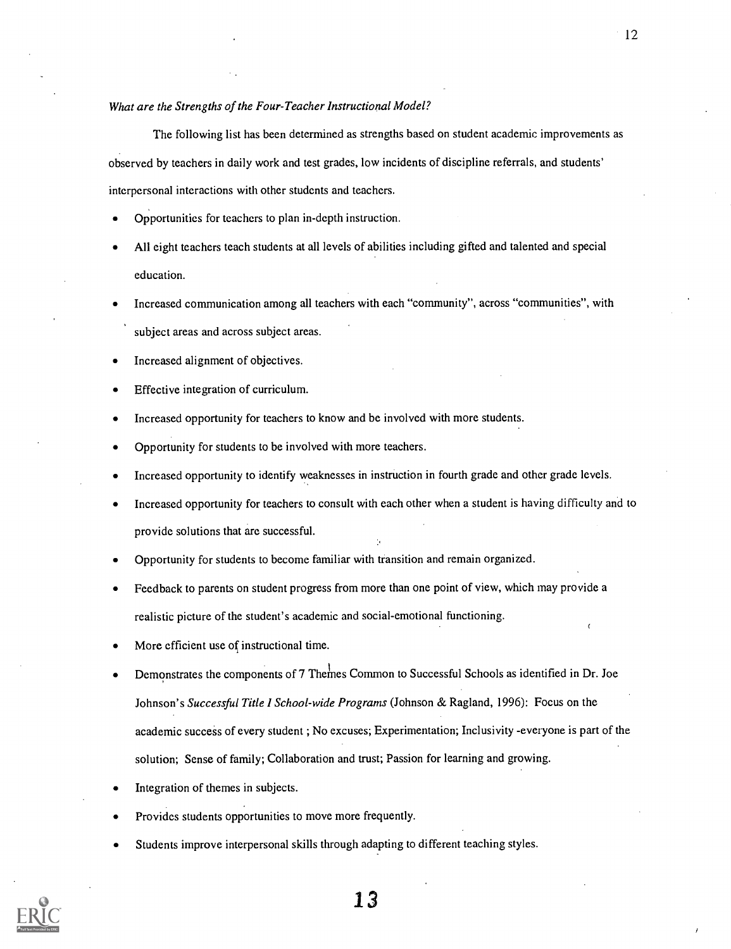What are the Strengths of the Four-Teacher Instructional Model?

The following list has been determined as strengths based on student academic improvements as observed by teachers in daily work and test grades, low incidents of discipline referrals, and students' interpersonal interactions with other students and teachers.

- Opportunities for teachers to plan in-depth instruction.
- All eight teachers teach students at all levels of abilities including gifted and talented and special education.
- Increased communication among all teachers with each "community", across "communities", with subject areas and across subject areas.
- Increased alignment of objectives.
- Effective integration of curriculum.
- Increased opportunity for teachers to know and be involved with more students.
- Opportunity for students to be involved with more teachers.
- Increased opportunity to identify weaknesses in instruction in fourth grade and other grade levels.
- Increased opportunity for teachers to consult with each other when a student is having difficulty and to provide solutions that are successful.
- Opportunity for students to become familiar with transition and remain organized.
- Feedback to parents on student progress from more than one point of view, which may provide a realistic picture of the student's academic and social-emotional functioning.
- More efficient use of instructional time.
- Demonstrates the components of 7 Themes Common to Successful Schools as identified in Dr. Joe Johnson's Successful Title I School-wide Programs (Johnson & Ragland, 1996): Focus on the academic success of every student ; No excuses; Experimentation; Inclusivity -everyone is part of the solution; Sense of family; Collaboration and trust; Passion for learning and growing.
- Integration of themes in subjects.
- Provides students opportunities to move more frequently.
- Students improve interpersonal skills through adapting to different teaching styles.



13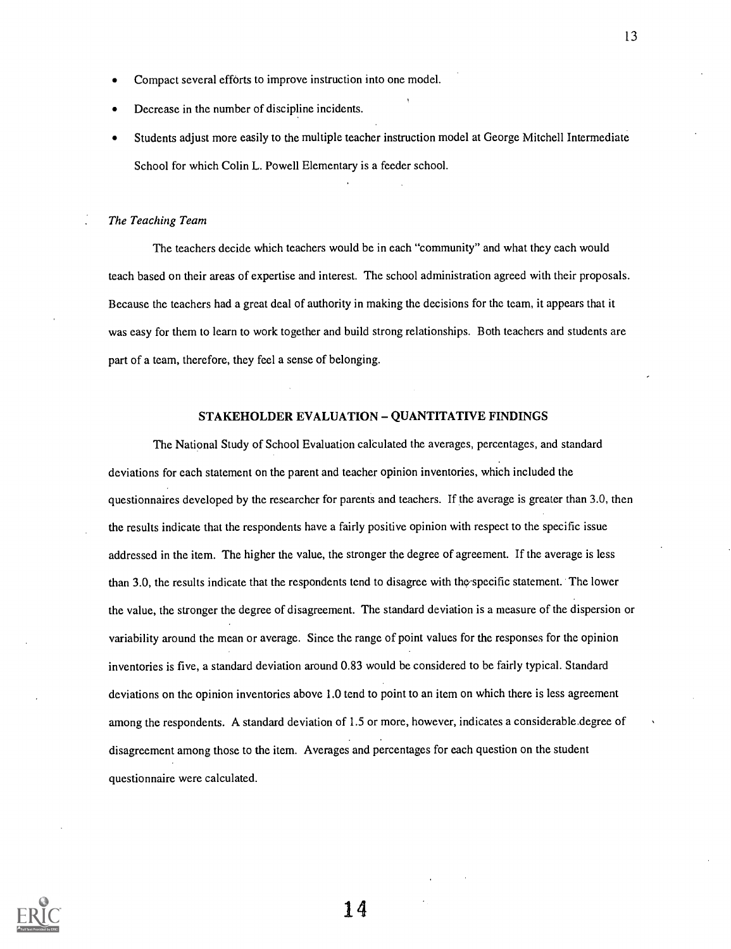- Compact several efforts to improve instruction into one model.
- Decrease in the number of discipline incidents.
- Students adjust more easily to the multiple teacher instruction model at George Mitchell Intermediate School for which Colin L. Powell Elementary is a feeder school.

#### The Teaching Team

The teachers decide which teachers would be in each "community" and what they each would teach based on their areas of expertise and interest. The school administration agreed with their proposals. Because the teachers had a great deal of authority in making the decisions for the team, it appears that it was easy for them to learn to work together and build strong relationships. Both teachers and students are part of a team, therefore, they feel a sense of belonging.

#### STAKEHOLDER EVALUATION - QUANTITATIVE FINDINGS

The National Study of School Evaluation calculated the averages, percentages, and standard deviations for each statement on the parent and teacher opinion inventories, which included the questionnaires developed by the researcher for parents and teachers. If the average is greater than 3.0, then the results indicate that the respondents have a fairly positive opinion with respect to the specific issue addressed in the item. The higher the value, the stronger the degree of agreement. If the average is less than 3.0, the results indicate that the respondents tend to disagree with the-specific statement. The lower the value, the stronger the degree of disagreement. The standard deviation is a measure of the dispersion or variability around the mean or average. Since the range of point values for the responses for the opinion inventories is five, a standard deviation around 0.83 would be considered to be fairly typical. Standard deviations on the opinion inventories above 1.0 tend to point to an item on which there is less agreement among the respondents. A standard deviation of 1.5 or more, however, indicates a considerable.degree of disagreement among those to the item. Averages and percentages for each question on the student questionnaire were calculated.

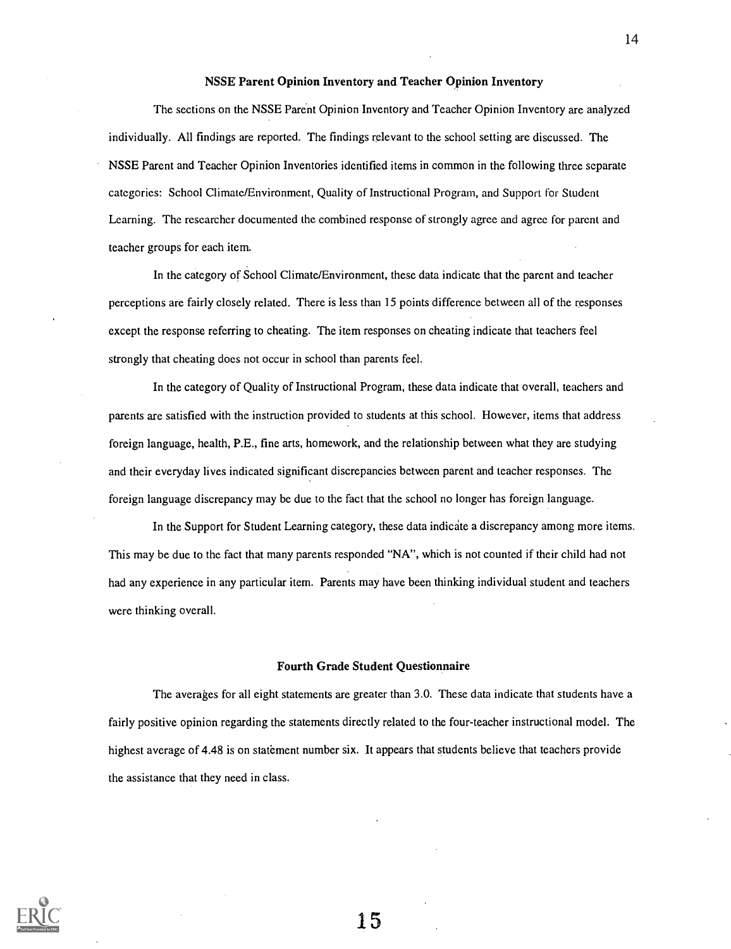#### NSSE Parent Opinion Inventory and Teacher Opinion Inventory

The sections on the NSSE Parent Opinion Inventory and Teacher Opinion Inventory are analyzed individually. All findings are reported. The findings relevant to the school setting are discussed. The NSSE Parent and Teacher Opinion Inventories identified items in common in the following three separate categories: School Climate/Environment, Quality of Instructional Program, and Support for Student Learning. The researcher documented the combined response of strongly agree and agree for parent and teacher groups for each item.

In the category of School Climate/Environment, these data indicate that the parent and teacher perceptions are fairly closely related. There is less than 15 points difference between all of the responses except the response referring to cheating. The item responses on cheating indicate that teachers feel strongly that cheating does not occur in school than parents feel.

In the category of Quality of Instructional Program, these data indicate that overall, teachers and parents are satisfied with the instruction provided to students at this school. However, items that address foreign language, health, P.E., fine arts, homework, and the relationship between what they are studying and their everyday lives indicated significant discrepancies between parent and teacher responses. The foreign language discrepancy may be due to the fact that the school no longer has foreign language.

In the Support for Student Learning category, these data indicate a discrepancy among more items. This may be due to the fact that many parents responded "NA", which is not counted if their child had not had any experience in any particular item. Parents may have been thinking individual student and teachers were thinking overall.

#### Fourth Grade Student Questionnaire

The averages for all eight statements are greater than 3.0. These data indicate that students have a fairly positive opinion regarding the statements directly related to the four-teacher instructional model. The highest average of 4.48 is on statement number six. It appears that students believe that teachers provide the assistance that they need in class.

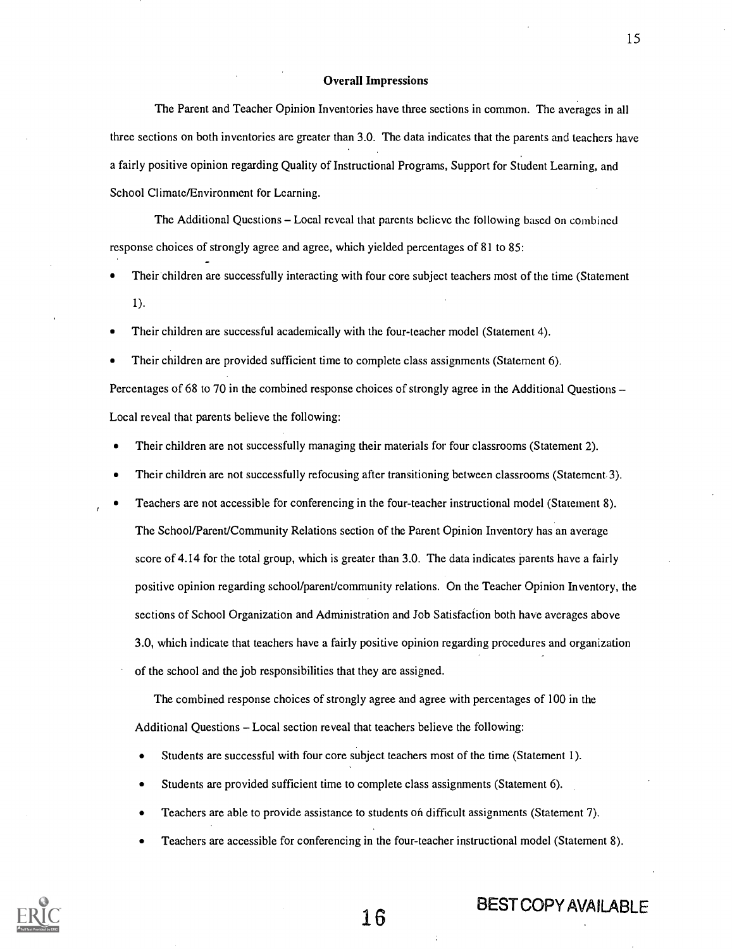#### Overall Impressions

The Parent and Teacher Opinion Inventories have three sections in common. The averages in all three sections on both inventories are greater than 3.0. The data indicates that the parents and teachers have a fairly positive opinion regarding Quality of Instructional Programs, Support for Student Learning, and School Climate/Environment for Learning.

The Additional Questions – Local reveal that parents believe the following based on combined response choices of strongly agree and agree, which yielded percentages of 81 to 85:

Their children are successfully interacting with four core subject teachers most of the time (Statement 1).

Their children are successful academically with the four-teacher model (Statement 4).

Their children are provided sufficient time to complete class assignments (Statement 6).

Percentages of 68 to 70 in the combined response choices of strongly agree in the Additional Ouestions – Local reveal that parents believe the following:

- Their children are not successfully managing their materials for four classrooms (Statement 2).
- Their children are not successfully refocusing after transitioning between classrooms (Statement 3).
- Teachers are not accessible for conferencing in the four-teacher instructional model (Statement 8). The School/Parent/Community Relations section of the Parent Opinion Inventory has an average score of 4.14 for the total group, which is greater than 3.0. The data indicates parents have a fairly positive opinion regarding school/parent/community relations. On the Teacher Opinion Inventory, the sections of School Organization and Administration and Job Satisfaction both have averages above 3.0, which indicate that teachers have a fairly positive opinion regarding procedures and organization of the school and the job responsibilities that they are assigned.

The combined response choices of strongly agree and agree with percentages of 100 in the Additional Questions – Local section reveal that teachers believe the following:

- Students are successful with four core subject teachers most of the time (Statement 1).
- Students are provided sufficient time to complete class assignments (Statement 6).
- Teachers are able to provide assistance to students on difficult assignments (Statement 7).
- Teachers are accessible for conferencing in the four-teacher instructional model (Statement 8).



15

# 16 BEST COPY AVAILABLE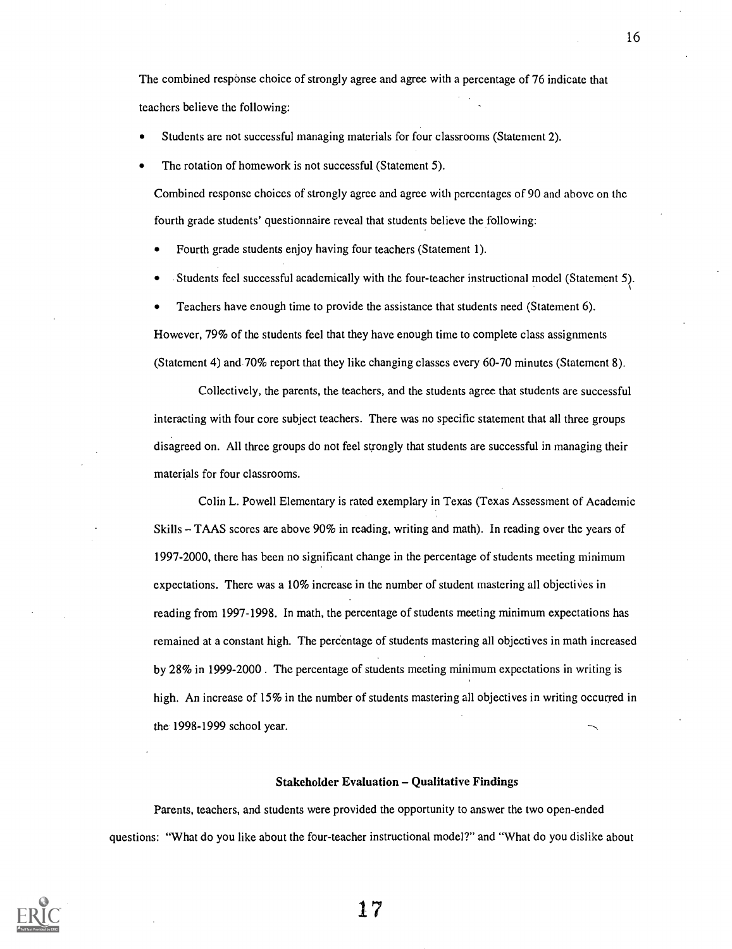The combined response choice of strongly agree and agree with a percentage of 76 indicate that teachers believe the following:

- Students are not successful managing materials for four classrooms (Statement 2).
- The rotation of homework is not successful (Statement 5).

Combined response choices of strongly agree and agree with percentages of 90 and above on the fourth grade students' questionnaire reveal that students believe the following:

Fourth grade students enjoy having four teachers (Statement 1).

Students feel successful academically with the four-teacher instructional model (Statement 5).

Teachers have enough time to provide the assistance that students need (Statement 6).

However, 79% of the students feel that they have enough time to complete class assignments (Statement 4) and 70% report that they like changing classes every 60-70 minutes (Statement 8).

Collectively, the parents, the teachers, and the students agree that students are successful interacting with four core subject teachers. There was no specific statement that all three groups disagreed on. All three groups do not feel strongly that students are successful in managing their materials for four classrooms.

Colin L. Powell Elementary is rated exemplary in Texas (Texas Assessment of Academic Skills  $-$  TAAS scores are above 90% in reading, writing and math). In reading over the years of 1997-2000, there has been no significant change in the percentage of students meeting minimum expectations. There was a 10% increase in the number of student mastering all objectives in reading from 1997-1998. In math, the percentage of students meeting minimum expectations has remained at a constant high. The percentage of students mastering all objectives in math increased by 28% in 1999-2000. The percentage of students meeting minimum expectations in writing is high. An increase of 15% in the number of students mastering all objectives in writing occurred in the 1998-1999 school year.

#### **Stakeholder Evaluation – Qualitative Findings**

Parents, teachers, and students were provided the opportunity to answer the two open-ended questions: "What do you like about the four-teacher instructional model?" and "What do you dislike about



17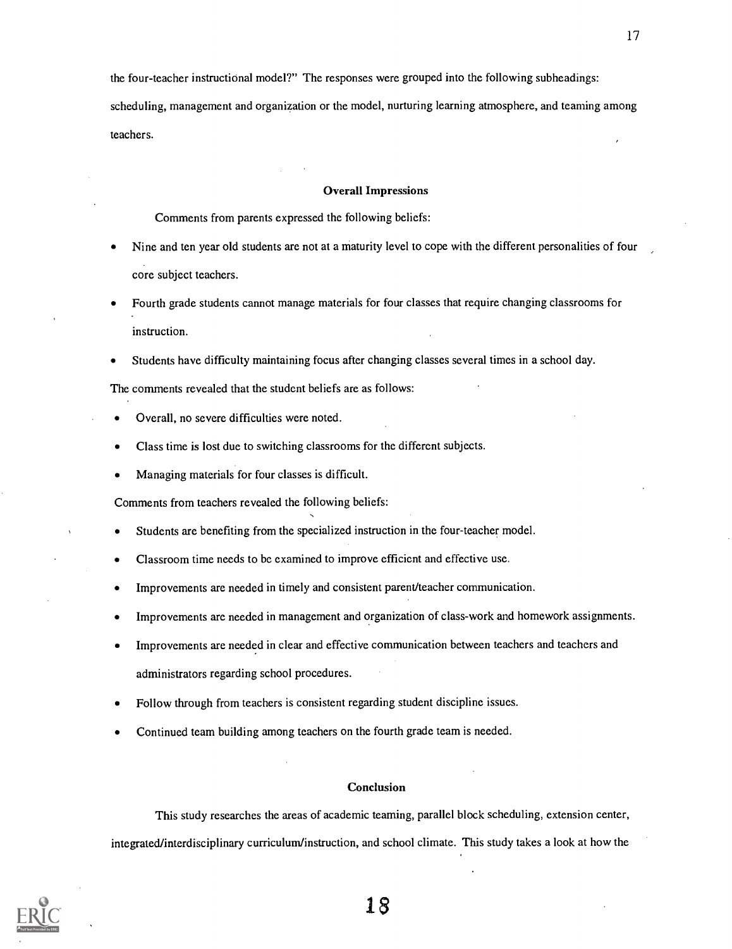the four-teacher instructional model?" The responses were grouped into the following subheadings:

scheduling, management and organization or the model, nurturing learning atmosphere, and teaming among teachers.

#### Overall Impressions

Comments from parents expressed the following beliefs:

- Nine and ten year old students are not at a maturity level to cope with the different personalities of four core subject teachers.
- Fourth grade students cannot manage materials for four classes that require changing classrooms for instruction.
- Students have difficulty maintaining focus after changing classes several times in a school day.

The comments revealed that the student beliefs are as follows:

- Overall, no severe difficulties were noted.
- Class time is lost due to switching classrooms for the different subjects.
- Managing materials for four classes is difficult.

Comments from teachers revealed the following beliefs:

- Students are benefiting from the specialized instruction in the four-teacher model.
- Classroom time needs to be examined to improve efficient and effective use.
- Improvements are needed in timely and consistent parent/teacher communication.
- Improvements are needed in management and organization of class-work and homework assignments.
- Improvements are needed in clear and effective communication between teachers and teachers and administrators regarding school procedures.
- Follow through from teachers is consistent regarding student discipline issues.
- Continued team building among teachers on the fourth grade team is needed.

#### **Conclusion**

This study researches the areas of academic teaming, parallel block scheduling, extension center, integrated/interdisciplinary curriculum/instruction, and school climate. This study takes a look at how the

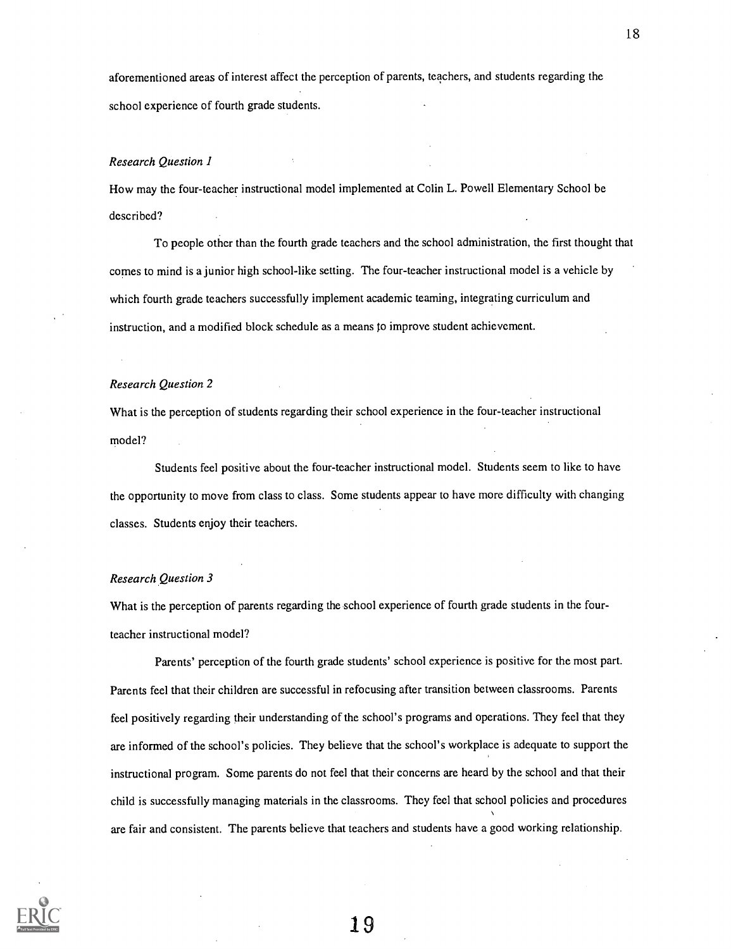aforementioned areas of interest affect the perception of parents, teachers, and students regarding the school experience of fourth grade students.

#### Research Question I

How may the four-teacher instructional model implemented at Colin L. Powell Elementary School be described?

To people other than the fourth grade teachers and the school administration, the first thought that comes to mind is a junior high school-like setting. The four-teacher instructional model is a vehicle by which fourth grade teachers successfully implement academic teaming, integrating curriculum and instruction, and a modified block schedule as a means to improve student achievement.

#### Research Question 2

What is the perception of students regarding their school experience in the four-teacher instructional model?

Students feel positive about the four-teacher instructional model. Students seem to like to have the opportunity to move from class to class. Some students appear to have more difficulty with changing classes. Students enjoy their teachers.

#### Research Question 3

What is the perception of parents regarding the school experience of fourth grade students in the fourteacher instructional model?

Parents' perception of the fourth grade students' school experience is positive for the most part. Parents feel that their children are successful in refocusing after transition between classrooms. Parents feel positively regarding their understanding of the school's programs and operations. They feel that they are informed of the school's policies. They believe that the school's workplace is adequate to support the instructional program. Some parents do not feel that their concerns are heard by the school and that their child is successfully managing materials in the classrooms. They feel that school policies and procedures are fair and consistent. The parents believe that teachers and students have a good working relationship.

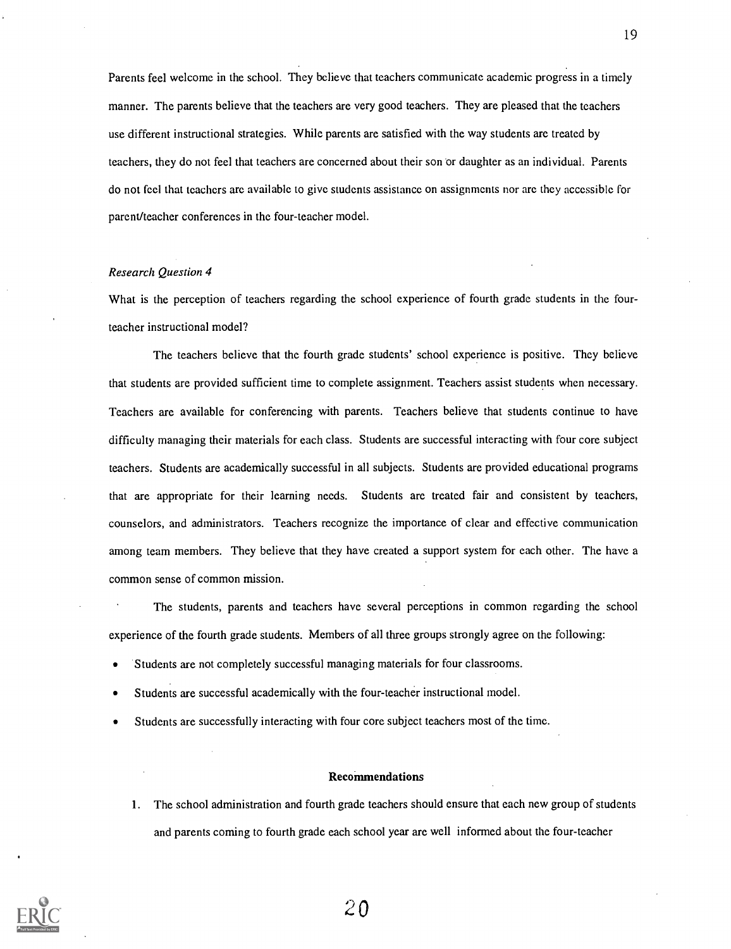Parents feel welcome in the school. They believe that teachers communicate academic progress in a timely manner. The parents believe that the teachers are very good teachers. They are pleased that the teachers use different instructional strategies. While parents are satisfied with the way students are treated by teachers, they do not feel that teachers are concerned about their son or daughter as an individual. Parents do not feel that teachers arc available to give students assistance on assignments nor arc they accessible for parent/teacher conferences in the four-teacher model.

#### Research Question 4

What is the perception of teachers regarding the school experience of fourth grade students in the fourteacher instructional model?

The teachers believe that the fourth grade students' school experience is positive. They believe that students are provided sufficient time to complete assignment. Teachers assist students when necessary. Teachers are available for conferencing with parents. Teachers believe that students continue to have difficulty managing their materials for each class. Students are successful interacting with four core subject teachers. Students are academically successful in all subjects. Students are provided educational programs that are appropriate for their learning needs. Students are treated fair and consistent by teachers, counselors, and administrators. Teachers recognize the importance of clear and effective communication among team members. They believe that they have created a support system for each other. The have a common sense of common mission.

The students, parents and teachers have several perceptions in common regarding the school experience of the fourth grade students. Members of all three groups strongly agree on the following:

- Students are not completely successful managing materials for four classrooms.
- Students are successful academically with the four-teacher instructional model.
- Students are successfully interacting with four core subject teachers most of the time.

#### Recommendations

1. The school administration and fourth grade teachers should ensure that each new group of students and parents coming to fourth grade each school year are well informed about the four-teacher

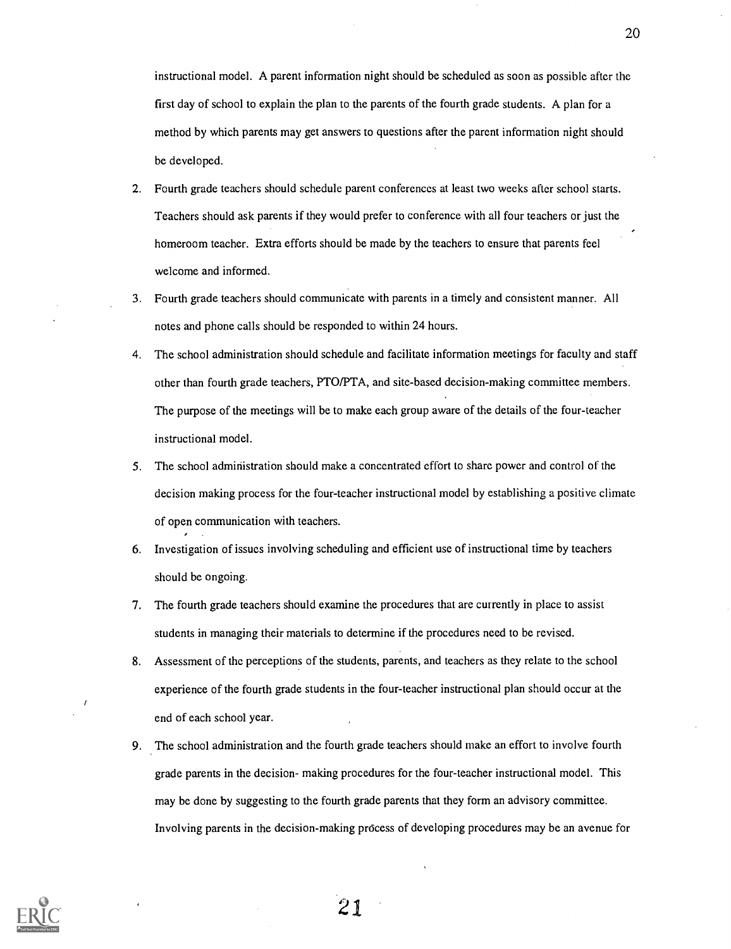instructional model. A parent information night should be scheduled as soon as possible after the first day of school to explain the plan to the parents of the fourth grade students. A plan for a method by which parents may get answers to questions after the parent information night should be developed.

- 2. Fourth grade teachers should schedule parent conferences at least two weeks after school starts. Teachers should ask parents if they would prefer to conference with all four teachers or just the homeroom teacher. Extra efforts should be made by the teachers to ensure that parents feel welcome and informed.
- 3. Fourth grade teachers should communicate with parents in a timely and consistent manner. All notes and phone calls should be responded to within 24 hours.
- 4. The school administration should schedule and facilitate information meetings for faculty and staff other than fourth grade teachers, PTO/PTA, and site-based decision-making committee members. The purpose of the meetings will be to make each group aware of the details of the four-teacher instructional model.
- 5. The school administration should make a concentrated effort to share power and control of the decision making process for the four-teacher instructional model by establishing a positive climate of open communication with teachers.
- 6. Investigation of issues involving scheduling and efficient use of instructional time by teachers should be ongoing.
- 7. The fourth grade teachers should examine the procedures that are currently in place to assist students in managing their materials to determine if the procedures need to be revised.
- 8. Assessment of the perceptions of the students, parents, and teachers as they relate to the school experience of the fourth grade students in the four-teacher instructional plan should occur at the end of each school year.
- 9. The school administration and the fourth grade teachers should make an effort to involve fourth grade parents in the decision- making procedures for the four-teacher instructional model. This may be done by suggesting to the fourth grade parents that they form an advisory committee. Involving parents in the decision-making process of developing procedures may be an avenue for



21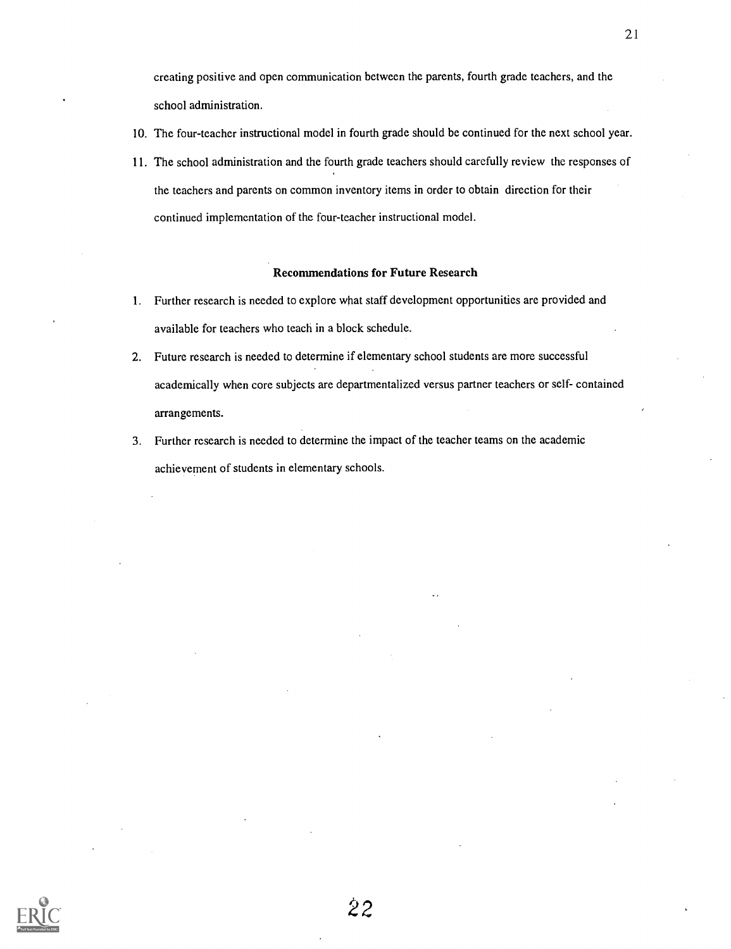creating positive and open communication between the parents, fourth grade teachers, and the school administration.

- 10. The four-teacher instructional model in fourth grade should be continued for the next school year.
- 11. The school administration and the fourth grade teachers should carefully review the responses of the teachers and parents on common inventory items in order to obtain direction for their continued implementation of the four-teacher instructional model.

#### Recommendations for Future Research

- 1. Further research is needed to explore what staff development opportunities are provided and available for teachers who teach in a block schedule.
- 2. Future research is needed to determine if elementary school students are more successful academically when core subjects are departmentalized versus partner teachers or self- contained arrangements.
- 3. Further research is needed to determine the impact of the teacher teams on the academic achievement of students in elementary schools.

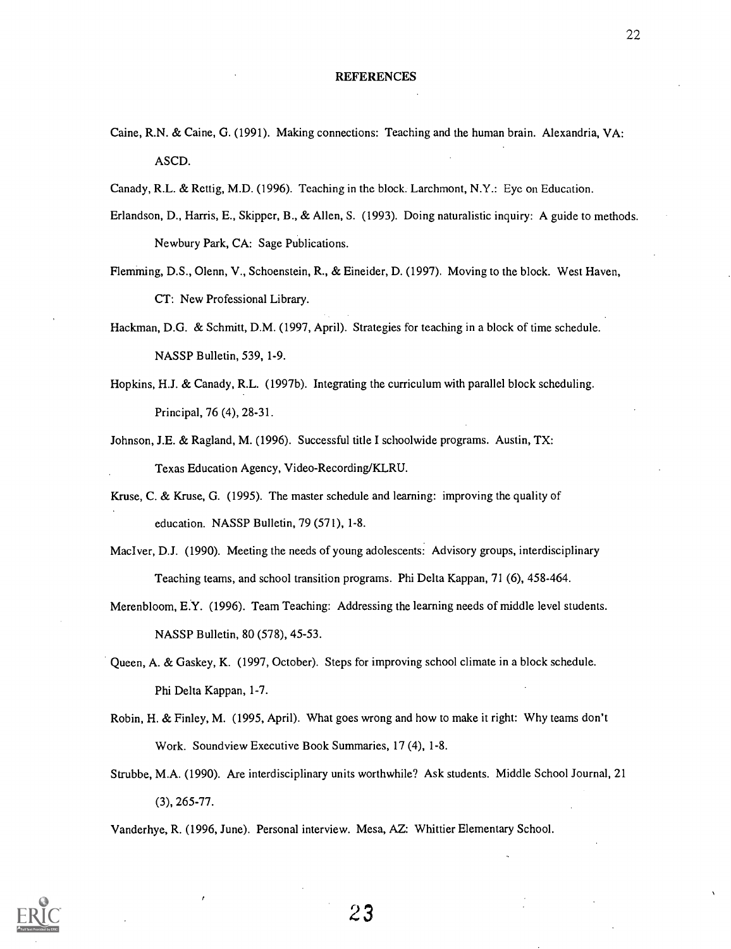- Caine, R.N. & Caine, G. (1991). Making connections: Teaching and the human brain. Alexandria, VA: ASCD.
- Canady, R.L. & Rettig, M.D. (1996). Teaching in the block. Larchmont, N.Y.: Eye on Education.
- Erlandson, D., Harris, E., Skipper, B., & Allen, S. (1993). Doing naturalistic inquiry: A guide to methods. Newbury Park, CA: Sage Publications.
- Flemming, D.S., Olenn, V., Schoenstein, R., & Eineider, D. (1997). Moving to the block. West Haven, CT: New Professional Library.
- Hackman, D.G. & Schmitt, D.M. (1997, April). Strategies for teaching in a block of time schedule. NASSP Bulletin, 539, 1-9.
- Hopkins, H.J. & Canady, R.L. (1997b). Integrating the curriculum with parallel block scheduling. Principal, 76 (4), 28-31.
- Johnson, J.E. & Ragland, M. (1996). Successful title I schoolwide programs. Austin, TX: Texas Education Agency, Video-Recording/KLRU.
- Kruse, C. & Kruse, G. (1995). The master schedule and learning: improving the quality of education. NASSP Bulletin, 79 (571), 1-8.
- Maclver, D.J. (1990). Meeting the needs of young adolescents: Advisory groups, interdisciplinary Teaching teams, and school transition programs. Phi Delta Kappan, 71 (6), 458-464.
- Merenbloom, E.Y. (1996). Team Teaching: Addressing the learning needs of middle level students. NASSP Bulletin, 80 (578), 45-53.
- Queen, A. & Gaskey, K. (1997, October). Steps for improving school climate in a block schedule. Phi Delta Kappan, 1-7.
- Robin, H. & Finley, M. (1995, April). What goes wrong and how to make it right: Why teams don't Work. Soundview Executive Book Summaries, 17 (4), 1-8.
- Strubbe, M.A. (1990). Are interdisciplinary units worthwhile? Ask students. Middle School Journal, 21 (3), 265-77.

Vanderhye, R. (1996, June). Personal interview. Mesa, AZ: Whittier Elementary School.

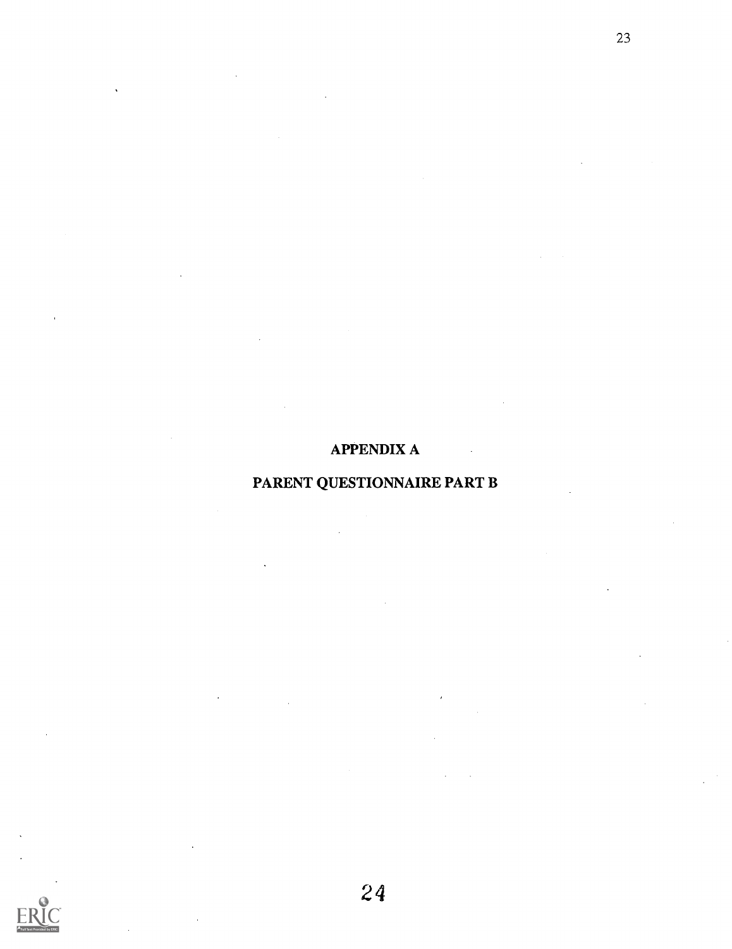## APPENDIX A

## PARENT QUESTIONNAIRE PART B

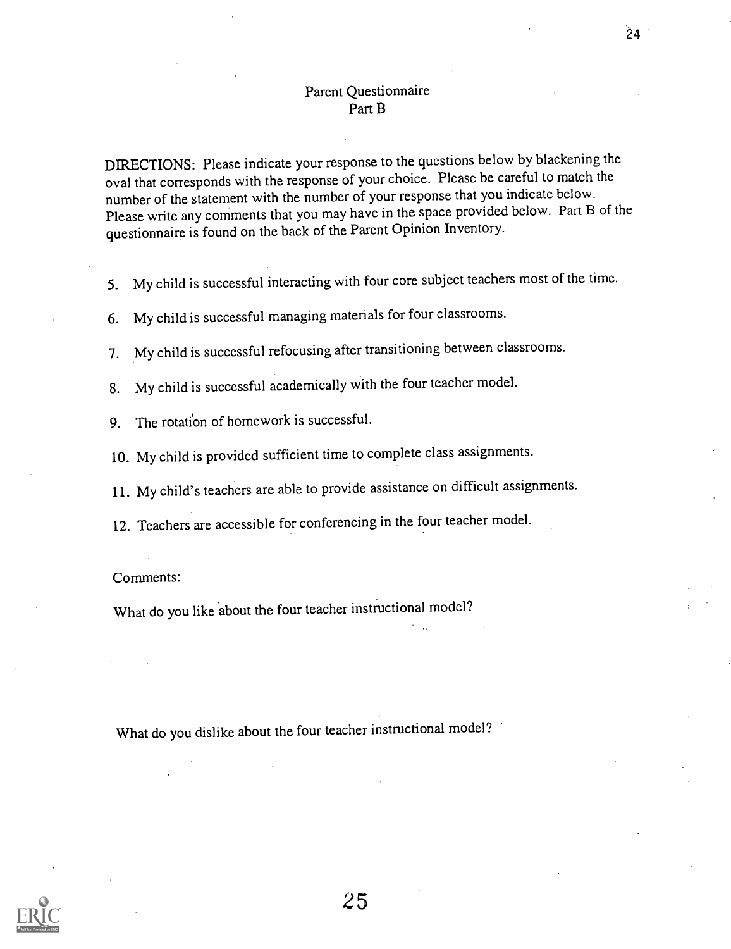### Parent Questionnaire Part B

DIRECTIONS: Please indicate your response to the questions below by blackening the oval that corresponds with the response of your choice. Please be careful to match the number of the statement with the number of your response that you indicate below. Please write any comments that you may have in the space provided below. Part B of the questionnaire is found on the back of the Parent Opinion Inventory.

- 5. My child is successful interacting with four core subject teachers most of the time.
- 6. My child is successful managing materials for four classrooms.
- 7. My child is successful refocusing after transitioning between classrooms.
- 8. My child is successful academically with the four teacher model.
- 9. The rotation of homework is successful.
- 10. My child is provided sufficient time to complete class assignments.
- 11. My child's teachers are able to provide assistance on difficult assignments.
- 12. Teachers are accessible for conferencing in the four teacher model.

Comments:

What do you like about the four teacher instructional model?

What do you dislike about the four teacher instructional model?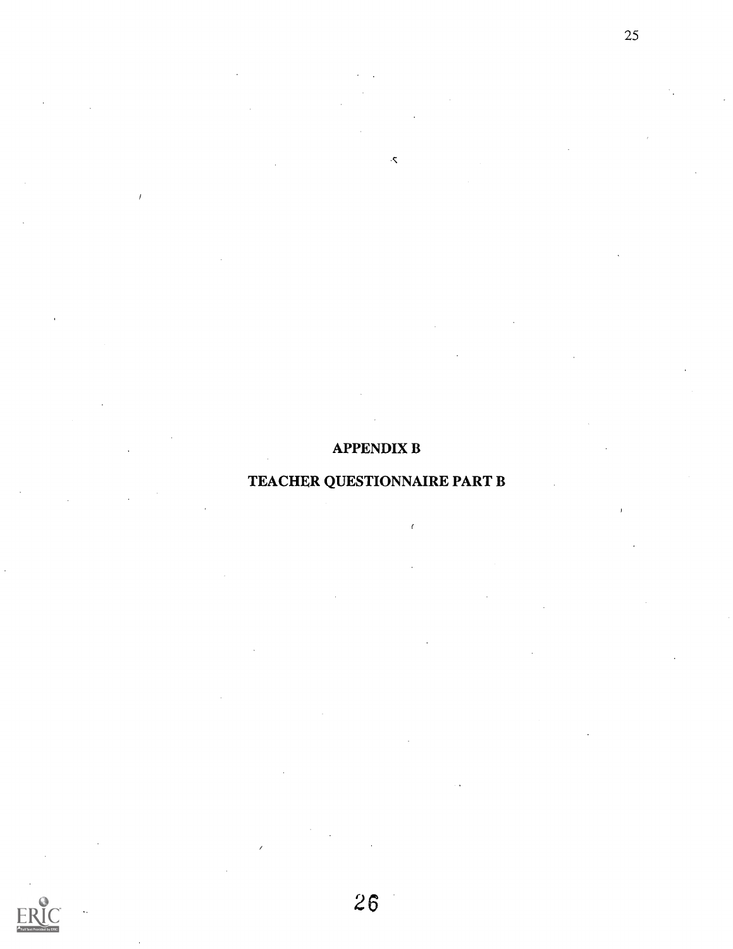## APPENDIX B

 $\bar{\mathbf{y}}$ 

## TEACHER QUESTIONNAIRE PART B

 $\epsilon$ 

26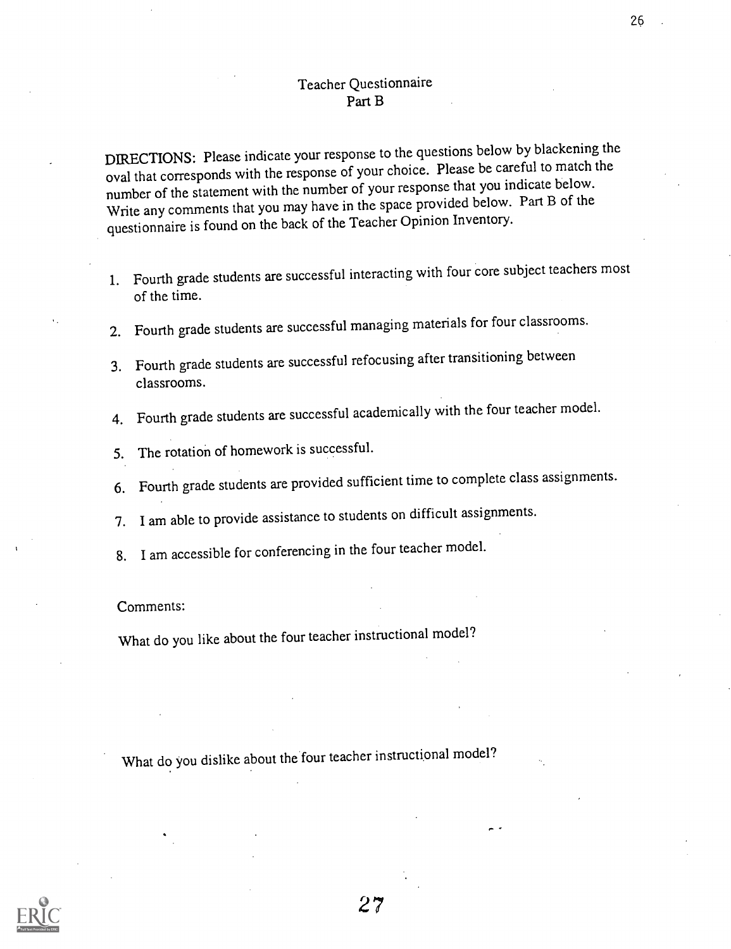DIRECTIONS: Please indicate your response to the questions below by blackening the oval that corresponds with the response of your choice. Please be careful to match the number of the statement with the number of your response that you indicate below. Write any comments that you may have in the space provided below. Part B of the questionnaire is found on the back of the Teacher Opinion Inventory.

- 1. Fourth grade students are successful interacting with four core subject teachers most of the time.
- 2. Fourth grade students are successful managing materials for four classrooms.
- 3. Fourth grade students are successful refocusing after transitioning between classrooms.
- 4. Fourth grade students are successful academically with the four teacher model.
- 5. The rotation of homework is successful.
- 6. Fourth grade students are provided sufficient time to complete class assignments.
- 7. I am able to provide assistance to students on difficult assignments.
- 8. I am accessible for conferencing in the four teacher model.

#### Comments:

What do you like about the four teacher instructional model?

What do you dislike about the four teacher instructional model?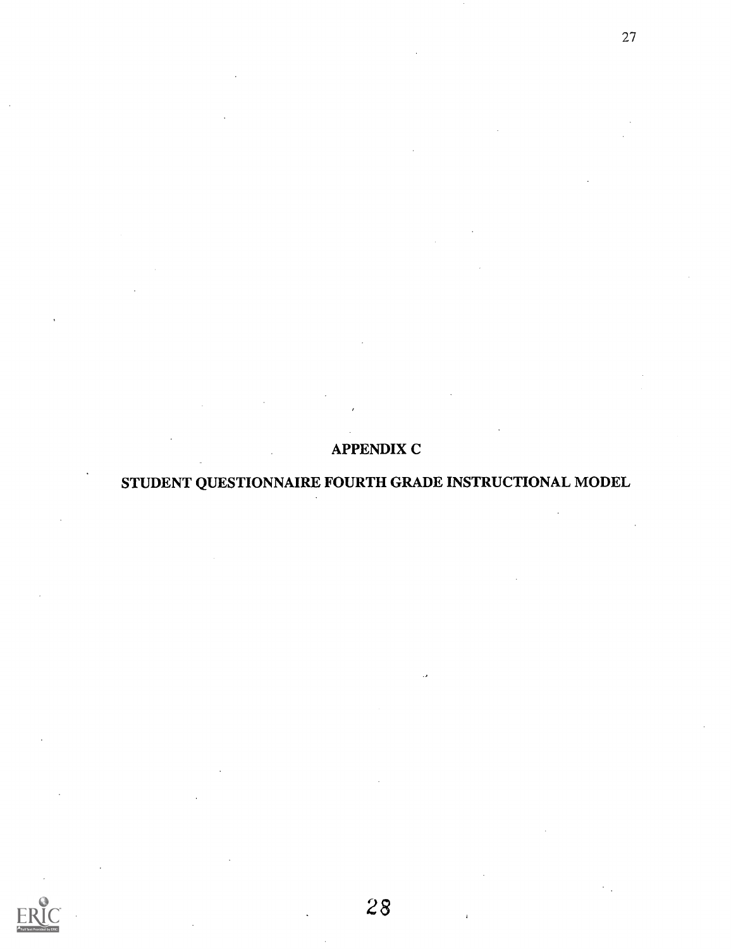## APPENDIX C

27

## STUDENT QUESTIONNAIRE FOURTH GRADE INSTRUCTIONAL MODEL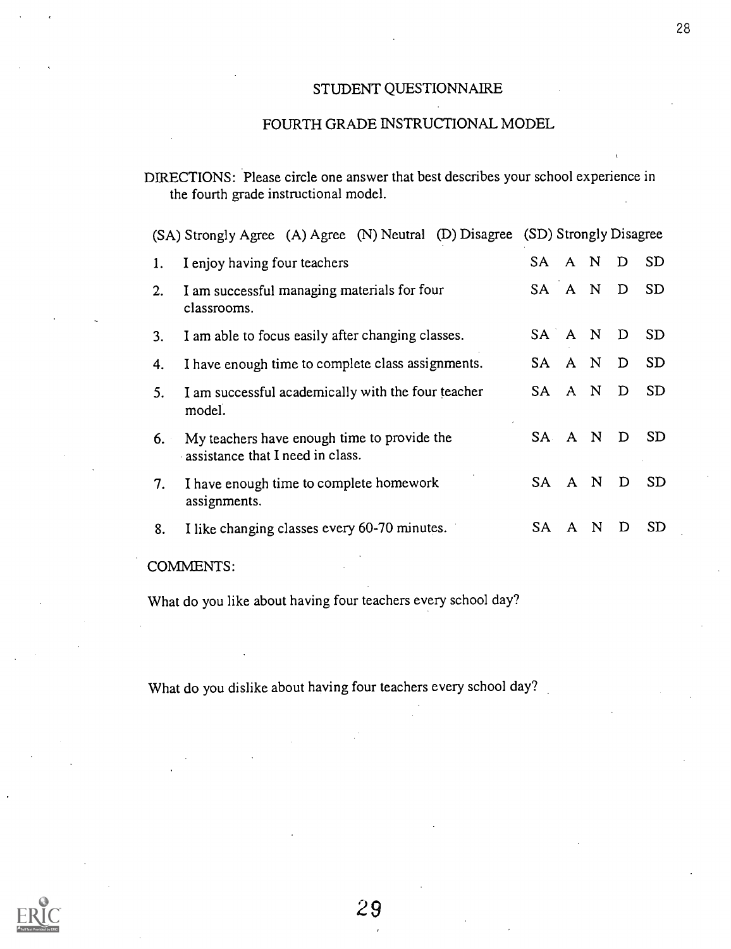### STUDENT QUESTIONNAIRE

## FOURTH GRADE INSTRUCTIONAL MODEL

|    | (SA) Strongly Agree (A) Agree (N) Neutral (D) Disagree (SD) Strongly Disagree   |                                      |
|----|---------------------------------------------------------------------------------|--------------------------------------|
| 1. | I enjoy having four teachers                                                    | <b>SD</b><br>SA A N<br>D             |
| 2. | I am successful managing materials for four<br>classrooms.                      | SA A N<br><b>SD</b><br>D             |
| 3. | I am able to focus easily after changing classes.                               | SA A N<br><b>SD</b><br>D             |
| 4. | I have enough time to complete class assignments.                               | <b>SD</b><br>A N<br>D<br>SA.         |
| 5. | I am successful academically with the four teacher<br>model.                    | <b>SD</b><br>SA A N<br>D             |
| 6. | My teachers have enough time to provide the<br>assistance that I need in class. | <b>SD</b><br>SA A N<br>D             |
| 7. | I have enough time to complete homework<br>assignments.                         | A N<br><b>SD</b><br>D<br>SA.         |
| 8. | I like changing classes every 60-70 minutes.                                    | SD.<br>SA.<br>N<br>D<br>$\mathbf{A}$ |
|    |                                                                                 |                                      |

### COMMENTS:

What do you like about having four teachers every school day?

What do you dislike about having four teachers every school day?



DIRECTIONS: Please circle one answer that best describes your school experience in the fourth grade instructional model.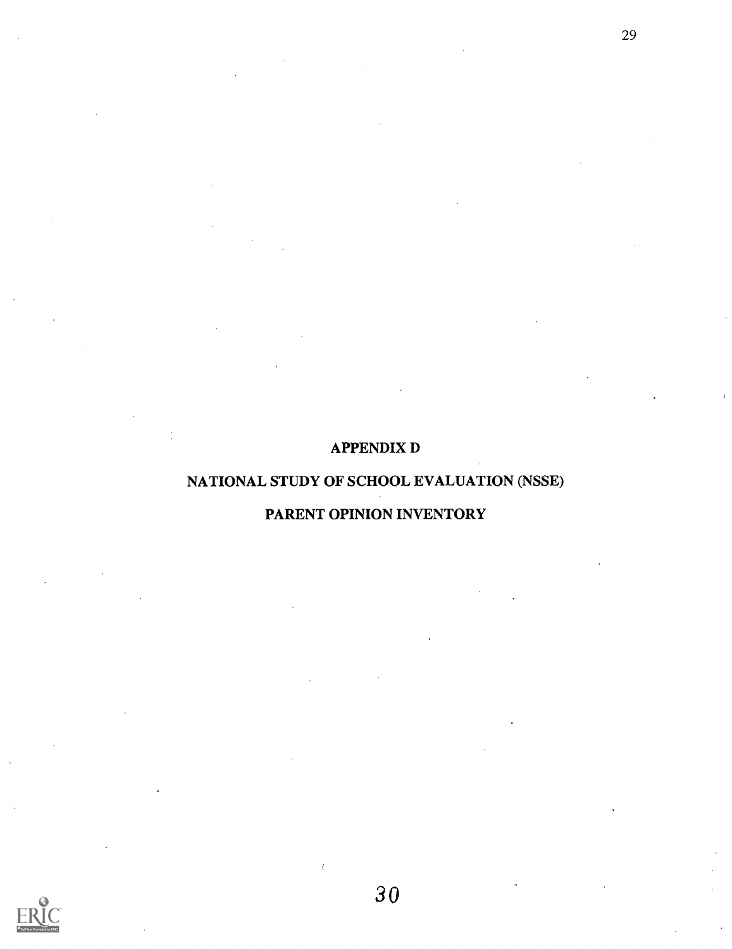## APPENDIX D

29

## NATIONAL STUDY OF SCHOOL EVALUATION (NSSE)

## PARENT OPINION INVENTORY

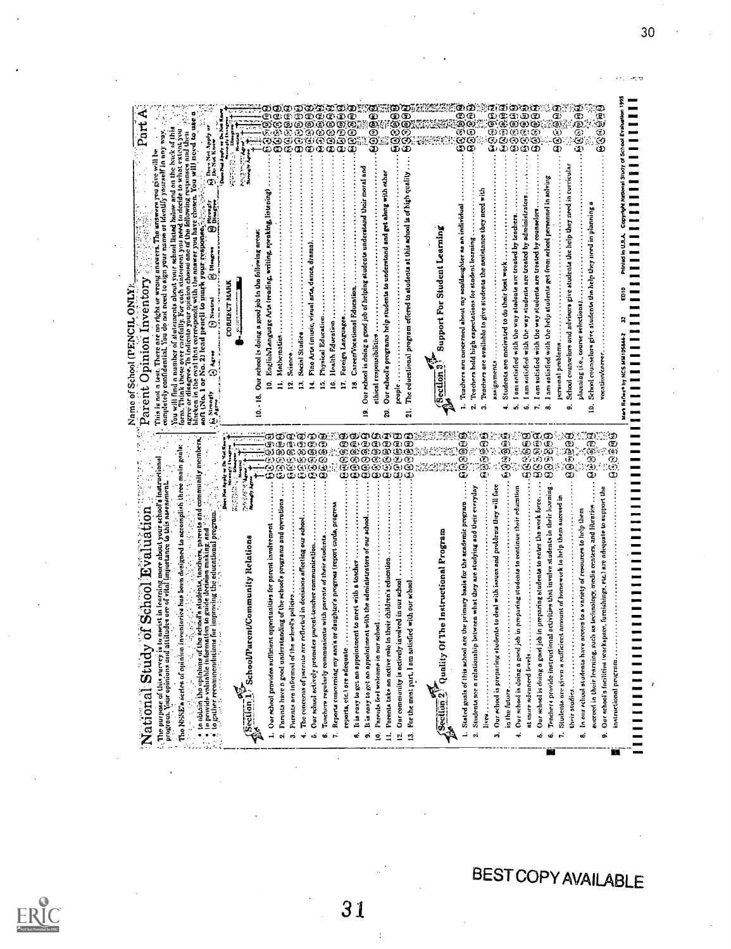| Part.<br>O Door Not Apply or                                                                                                                                                                                                                                                                                                                                                                                                                                                                                                                                                                                                                                                                                                                                                                                                         | Dave Ned Apply or Da Ned                                                                                                                  | ලි<br>ව<br>ම<br>е<br>ලා ලා<br>D<br>ා<br>ن<br>پې<br>تی<br>دی<br>۞<br>ගම<br>ම<br>Ø<br>Ø<br>Đ<br>Q.<br>62<br>€<br>G,<br>G.<br>⊕<br>TS)<br>Ō<br>C<br>œ<br>œ<br>Œ<br>Œ                                                                                                                                                                                                                                                                  | ම<br>මග<br>9999<br>ම්ම<br>$\mathbf{\Theta}$<br>$\bar{\bm{\odot}}$<br>ගෙ<br>$\circ$<br>କ୍ତି<br>ଦ<br>ලග<br>$\overline{\omega}\,\overline{\omega}$<br>نگ<br>œ                                                                                                                                                                                                                                                                                                      | ବ୍ର<br>ବୃତ୍ତି<br>ପୃତ୍ତି<br>ගග                                                                                                                                                                                                                                                                                                                                                                                                                                            | 09930<br>ග බ ග<br>ග ග ල<br>0000<br>0000<br>0000<br>ରିଭି<br>ଉତ୍ତ<br>මගගග<br>Φ,<br>رچ                                                                                                                                                                                                                                                                                                                                                                                                                                | 609959<br>မေ့ရစ်မ                                                                                                                                                                                                                                                                                                                                 |
|--------------------------------------------------------------------------------------------------------------------------------------------------------------------------------------------------------------------------------------------------------------------------------------------------------------------------------------------------------------------------------------------------------------------------------------------------------------------------------------------------------------------------------------------------------------------------------------------------------------------------------------------------------------------------------------------------------------------------------------------------------------------------------------------------------------------------------------|-------------------------------------------------------------------------------------------------------------------------------------------|------------------------------------------------------------------------------------------------------------------------------------------------------------------------------------------------------------------------------------------------------------------------------------------------------------------------------------------------------------------------------------------------------------------------------------|-----------------------------------------------------------------------------------------------------------------------------------------------------------------------------------------------------------------------------------------------------------------------------------------------------------------------------------------------------------------------------------------------------------------------------------------------------------------|--------------------------------------------------------------------------------------------------------------------------------------------------------------------------------------------------------------------------------------------------------------------------------------------------------------------------------------------------------------------------------------------------------------------------------------------------------------------------|--------------------------------------------------------------------------------------------------------------------------------------------------------------------------------------------------------------------------------------------------------------------------------------------------------------------------------------------------------------------------------------------------------------------------------------------------------------------------------------------------------------------|---------------------------------------------------------------------------------------------------------------------------------------------------------------------------------------------------------------------------------------------------------------------------------------------------------------------------------------------------|
| In indicate your opinion channel one of the following responses and then $2^{2/3}$ that expressionals with the answer you have chosen. You will need to use<br>You will find a number of statements about your school listed bolow and on the back of this<br>to decide to what extent you<br>name or identify yourself in any way.<br>test. There are no right or wrong unavers. The answers you give will<br><b>Bittenti</b><br>form. Think these over carefully. For each statement you need<br>soft (No. 1 or No. 2) lead peacil to mark your response-<br>Disgre<br>completely confidential. You do not need to sign your<br>Ō<br>Parent Opinion Inventory<br>blacken in the oval that corresponds with th<br>Name of School (PENCIL ONLY)<br>(r) Newton<br>ما بار<br>ج<br>ngree or disagree. I<br>This is not a<br><b>Game</b> | <b>All Services</b><br><b>Municipality Age</b><br>Our school is doing a good job in the following areas:<br>CORRECT NARK<br>$\frac{8}{1}$ | English/language Arta (reading, writing, speaking, listening)<br>Fine Arts (music, visual arts, dance, drama)<br>Physical Education<br>Social Studies<br>Mathematics<br>Science<br>ž.<br>ś<br>ģ<br>ś<br>E<br>Ξ.                                                                                                                                                                                                                    | Our rehool is doing a good job of helping etudents understand their moral and<br>The educational program offered to students at this school is of high quality<br>Our school's programs help students to understand and get along with other<br>CareerVocational Education.<br>Foreign Languages<br>Health Education<br>ethical responsibilities<br>people<br>۱6.<br>È,<br>Ã<br>ಸ<br>g<br>ន្ត                                                                   | Teachers are available to give students the assistance they need with<br>Teachers are concerned about my son/daughter as an individual<br>Support For Student Learning<br>Teachers hold high expectations for student learning<br>Section <sub>3</sub><br>က်<br>ςi.                                                                                                                                                                                                      | I am satisfied with the help atudents got from school personnel in solving<br>I am satisfied with the way students are treated by administrators<br>I am satisfied with the way students are treated by counselors<br>am antisfied with the way atudents are treated by teachers.<br>Students are motivated to do their best work<br>assignments<br>personal problems<br>$\mathbb{R}^2$<br>G.<br>×.<br>ക്                                                                                                          | P.<br>School counselors and advisors give students the help they need in curriculat<br>School munselors give students the help they need in planning<br>planning (i.e., course selections).<br><b>INSIGRAMS STATE</b><br>vocation/coreer.<br>œ<br>≘                                                                                               |
| ä<br>main grai                                                                                                                                                                                                                                                                                                                                                                                                                                                                                                                                                                                                                                                                                                                                                                                                                       |                                                                                                                                           | œ<br>Œ<br>œ<br>œ<br>œ<br>මම<br>මග<br>五田<br>$\mathfrak{D}\left( \mathfrak{D}\right)$<br>ව) (B) (C)<br>ಾ<br>Ġ,<br>Œ.<br>ري<br>زي<br>ن<br>رون<br>Œ                                                                                                                                                                                                                                                                                    | ගගග<br>ගෙග<br>ආතුතු<br>ගලාග<br>ΦΦ<br>٤<br>Œ)<br>ගෙග<br>Ö,<br>ගග<br>۵<br>ن ن ن<br>¢<br>စ<br>C<br>⊙<br>G.<br>倥<br>c<br>وي<br>روي<br>G)<br>C<br>σó<br>ω                                                                                                                                                                                                                                                                                                            | 609960<br>စြစ်ဖြစ်<br>ළ                                                                                                                                                                                                                                                                                                                                                                                                                                                  | ମ୍ବର୍ସ୍ତି<br><b>9999</b><br>0000<br>0000<br>0900                                                                                                                                                                                                                                                                                                                                                                                                                                                                   | ತಾ<br><b>QRB999</b><br>Φ<br>$\bar{\bm \omega}$<br>Φ<br>画面<br>ري<br>ري<br>จ<br>$\omega$<br>တ<br>٥                                                                                                                                                                                                                                                  |
| he school's students, teachers, parents and community members.<br>aation to guide decision making, and $\frac{1}{2}$ is a state of the school of<br>g more about your school's instructional<br>program. Your opinions and attitudes are of vital importance to this assessment.<br>inventories has been designed to accomplish three<br>ż<br>ń<br>$\frac{1}{2}$<br>lonal program.<br><b>Gr School Evaluation</b><br>improving the educat<br>nevisi in<br>National Study<br>$\bullet$ to obtain the opinious of i<br>$\frac{1}{2}$ to gather recompondation<br>The NSSE's serice of opinion<br>. The purpose of this survey is                                                                                                                                                                                                       | このたい いん<br>Rumary Ago<br>Does Nos Ay<br>rent/Community Relations<br>Section 1, SchoolPa                                                   | tanding of the school's programs and operations<br>reflected in decisions affecting our achoe<br>1. Our school provides sufficient opportunities for portent involvement<br>Teachers regularly communicate with parents of their students<br>Our school actively promotes parent-teacher<br>echool's policies<br>2. Parents have a good under<br>3. Parents are informed of the<br>The concerns of parents are<br>÷<br>ن<br>ف<br>ø | a or daughter's progress (report cards, progress<br>nent with the administrators of our schoo<br>It is easy to get an appointment to meet with a toncher<br>in their children's educat<br>involved in our school<br>$\mathbf{r}$ and $\ldots$<br>Reports concerning my son<br>9. It is easy to get an appoint<br>10. Parents feel welcome in our<br>11. Parents take an active role<br>Our community is actively<br>reports, etc.) are adequate<br>É<br>k,<br>ដ | botween what they are studying and their everyday<br>re the primary basis for the academic program<br>The Instructional Program<br>13. For the most part, I am aatisfied with our school<br>Studenta see a rolationship<br>$\int \frac{\sec(\tan 2)}{2}$ Quality O<br>1. Stated goals of this school<br><b>I</b> <i><i>i</i> <b><i>i</i></b> <i><b>i</b> <b><i>i</i></b></i> <b><i><i>i i i <b></b></i></i></b></i> <b><i>i <i><b></b></i> <b></b> <b></b></i></b><br>٠. | dents to deal with issues and problems they will face<br>in preparing students to continue their education<br>Tenchers provide instructional activities that involve students in their learning<br>job in preparing students to enter the work force.<br>ent amount of homework to help them succeed<br>ŝ<br>3. Our echool is preparing stu<br>in the future<br>Students are given a suffici<br>Our school is doing a good<br>Our school is doing a good<br>at more advanced levels.<br>Ġ,<br>÷<br>é<br>$\ddot{ }$ | tspace, furnishings, etc.) are adequate to support the<br>aucreed in their learning, such as lechnology, media centers, and libraries<br>access to a variety of resources to help them<br>their studies and all all the con-<br>In our relievl students have<br>Our rchool a facilities (wor)<br>instructional program<br><b>HILLE</b><br>æ<br>o. |

**BEST COPY AVAILABLE** 

31

ERIC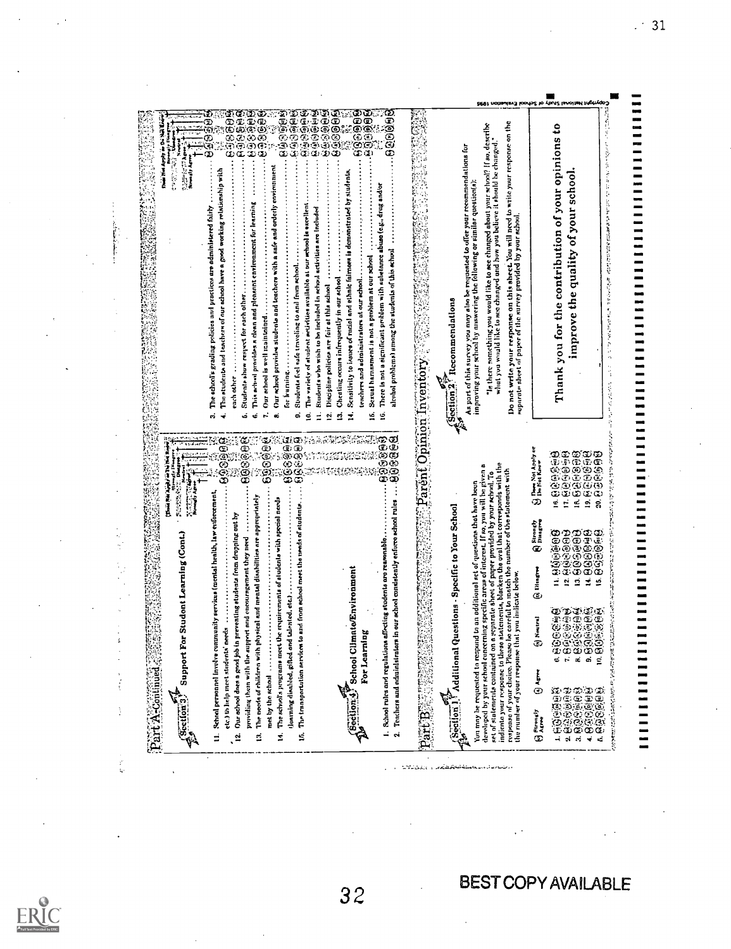COD Liti ued 4 ituctkon'.4) Support For Studont Learning (Cont.) 11. School personnel involve community servims (mental health, law enforcement, etc.) In help meet students' needs 12. Our school does o good Job in preventing students from dropping out by providing them with the support and encourngernent they need 13. The nerds of rhildrn with physical tool mental disnhilities tire approprintely met by the school 14. The school's programs meet the requirements of students with special needs 'learning dinabled, gifted and talented. etc.) 15. The tronsportation aerviccor to and from school meet the needs of ritudonts ,...ifa:1:1;\_i:4; School Climate/Environment For Learning I. School rules and regulations effecting students are reasonable 2. Teachers and administrators in our school consistently enforce school rules 8 8 SOctiott11 Additional Questions Specific to Your School You mny be requested to respond to an odditionol act of quentions that have (revs developed by your school concerning specific areas of interest. If so. you will be riven a set of st termer its contained on n separate sheet of paper provided by your school. To ind Moto your nmponse to these ntatementrk blacken the oval that corresponds with the response of your choice. Please be careful to match the number of the statement with the number of your irsponso that you indicate below. 0 Aaeveslr ® Arrre 4 Neutral 61 Di.., fi;.6t'(4.1 9 1'111. 0. tz3 G.® 6 f.400°:!(96i 7. E3 !;;; 0.8 6./^1S 8. 13. ecsgi9iii:88 64: f4...5,-il.,63r;ci?.1.6(1 tE;;4q 14. eo aO 15. n.:i.N.Ary\*, .6110.4116.it.= \*se,. liewirne .,.... Neve. \*:':Theiee; :Unrest/ eons(3.1414j3.E):;:4 4j.8 F.5 EL A q.)eFE4,. 98;..;:iM 9 '."Y-8,e.Ea. E :'... i.-- P 0 SI.Ff.9 6 -.4 ri.1 S ..RF!..11 filtil S61.1.9 1:-..?./.1! C.) (I.; ii.i 4 ;!:i) il, :Elf!) 6208(00E 3. The school's grading policies and practices are administered fairly 4. The student', and temchern of our school have a good working relstionship with each other 6. Students show respect for each other 6. 'no, school provides n clean and pie/moot environment for learning 7. Our 0.11001 is well maintained 8. Our school provides students and teachers with a safe and orderly environment for learning O. Students feel tote traveling to And from school tn. The variety of student setivhies available at our school I. excellent U. Students who wish to ho Included In school activities are Included 12. Discipline policies are fair et this school 13. Cheating occurs infrequently in our school 14. Sensitivity to issues of rectal and ethnic fairness is demonstrated by students. termite's; and adroinistratont at our school 16. Sexual harnssment is not n problem at our school 16. There In not a significant problem with substance abuse (e.g.. drug and'or alcohol problems) among the students of this school 13.11.49P.: P-YePtorr Itecommendations Ali part of this survey you mny alms be retroceded to offer your recommendations for improving your school by answering the following or similar question(s): in there something you would like to see changed about your school? If so. describe I- what you would like to nee changed and how you believe it should he changed ' Do not write your response on this sheet. You will need to write your response on the I nuporoto sheet of paper of the survey provided by your school. Thank you for the contribution of your opinions to improve the quality of your school. 1 1 1 1 1 I I I I I I I I I I I I I I I I I I I I I I I I I I I 1 1 1 1 1 I I I I I I I I I I I 1 1 1 1 1 1 1 1 1 1 1 1 1 1 1 1 1 1 1 1 1 1 1 1 1 1 1 1 1 1 1 1 1 1 1 $\frac{1}{2}$ in die ste

متشابة مستقب

ķ

k.

 $\frac{1}{2}$ 

j.

timbasin'i bodashwalloku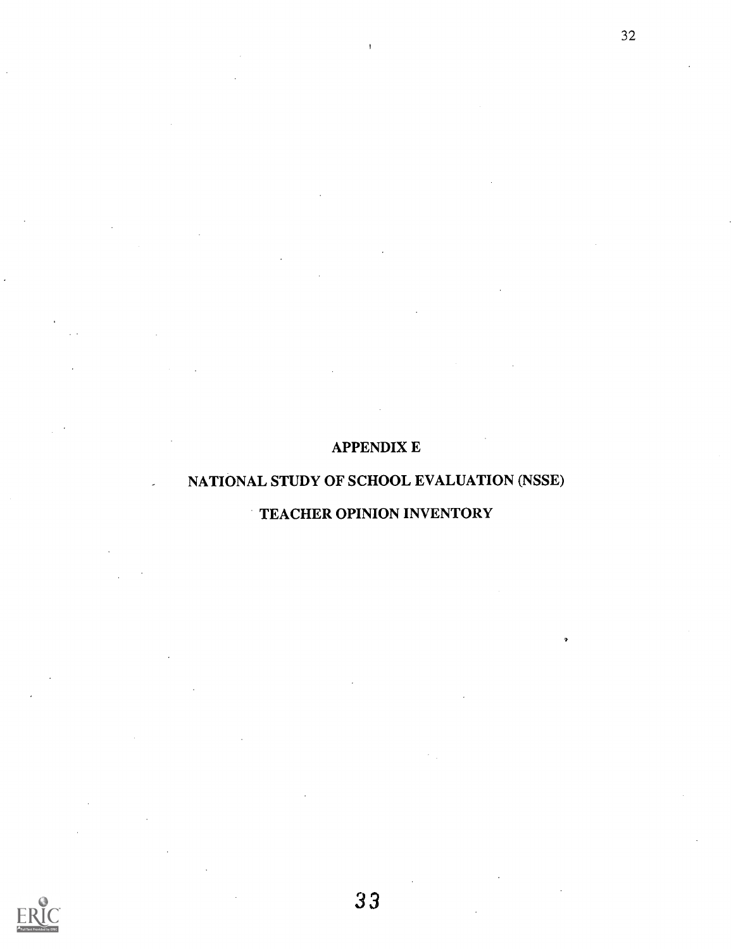## APPENDIX E

 $\mathbf{I}$ 

32

## NATIONAL STUDY OF SCHOOL EVALUATION (NSSE)

## TEACHER OPINION INVENTORY

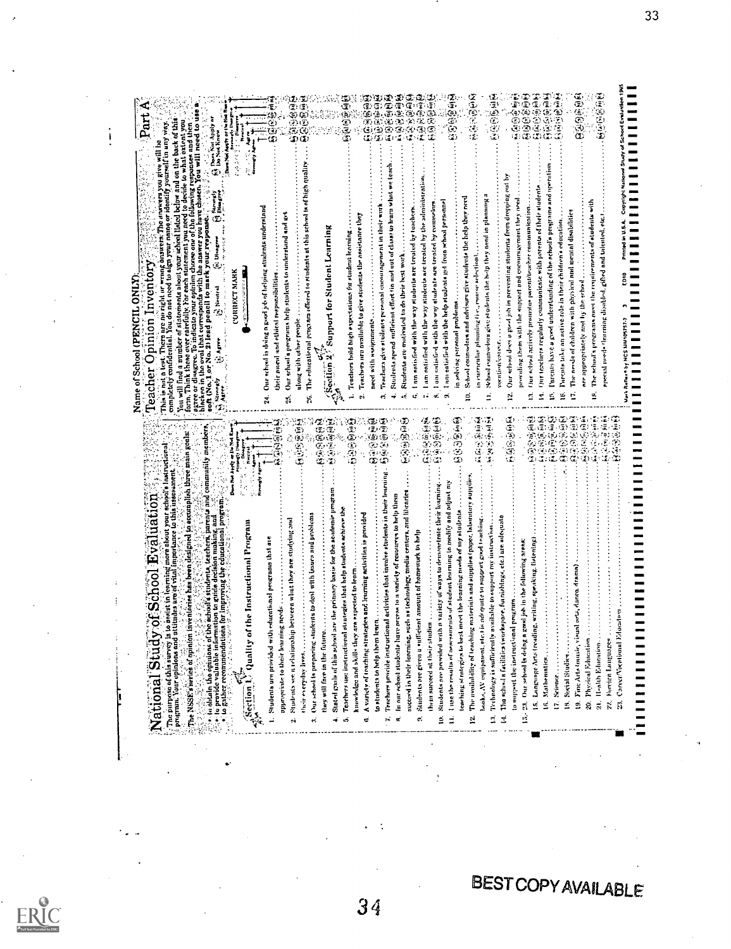Nnt Inoluy by NCS use10sy37.3 3 coin orow N U.GA coonlohl NDoed sn,d1 of so." Evw."'" 1995 I I I I I I I I I I I I I I I I I I I I I I I I I I I I I I I I I I I I I I I I I I I I I I I 1 I I I I I I I I I I I I I I I I I I I I I I I I I I I I I I I I I I I000<br>000<br>3000 含 变压包密闭体 e A t:::1 R4 e o (18 E)<br>B = 1 R4 e o (18 E) (18 E) (18 E)<br>B = 1 (18 E) (18 E) (18 E) (18 E)<br>B = 1 (18 E) (18 E) (18 E)<br>E = 1 (18 E) (18 E)<br>E = 1 (18 E) (18 E) From  $\sum_{i=1}^{n} \sum_{j=1}^{n} \sum_{j=1}^{n} \sum_{j=1}^{n} \sum_{j=1}^{n} \sum_{j=1}^{n} \sum_{j=1}^{n} \sum_{j=1}^{n} \sum_{j=1}^{n} \sum_{j=1}^{n} \sum_{j=1}^{n} \sum_{j=1}^{n} \sum_{j=1}^{n} \sum_{j=1}^{n} \sum_{j=1}^{n} \sum_{j=1}^{n} \sum_{j=1}^{n} \sum_{j=1}^{n} \sum_{j=1}^{n} \sum_{j=1}^{n} \sum_{j=1}^{n} \sum_{j=$ F: (1962). Dr. Agree .: .:)  $\frac{1}{2}$  (1964). The collitter of the second certain  $\frac{1}{2}$  ( $\frac{1}{2}$  ( $\frac{1}{2}$  ( $\frac{1}{2}$  ( $\frac{1}{2}$  ( $\frac{1}{2}$  ( $\frac{1}{2}$  ( $\frac{1}{2}$  ( $\frac{1}{2}$  ( $\frac{1}{2}$  ( $\frac{1}{2}$  ( $\frac{1}{2}$  ( $\frac{1}{2$ ?''51. Teachers hold high espectations for student learning 2. Teachers oru availahle to give students the Assistance they need with assignments 3. l'enclicrn i,lve etuilent< prAiinnl coontlingenient in their wink 4. Students spend sufficient effort in end nut active, co learn whet we tench 5. Students are motivated to an their hest work ft <sup>I</sup> rim antislied with the way students arc treated by teachers 7. I nn, ent s fled with Um way students are treated by the administration.. S.1 OW with the way students roc treated by (V1111,1,17, 9. <sup>1</sup> ant entiidied with the help students get from school personnel in sniving rennet problems 10. Selesel connselnrs and nchisurs give students the help they need in eurricului plam,ing Ii.., muse select Mill 11. Mom! counselors give students the help they need in planning a voctition,coreer 12. Our ached does u gad jib in preventing students from dropping out by previding them aith the support tied encouragement they need 13. (tor actively printerlie I utmntitrocher rnininitnicai on 14. Our leachers regularly communicate with parents of their students l'arentn have a pawl understanding of the school's programs and operot ion IS. ramble Ull, art net ive.rele in their children's education 17. The needs of children with physical ntitl mental disabilities are appropriately nod by the 1,110.4 IA. The school's programs miss the rosin irements of students with special needs learning gilled and talented, ete.i ;f, 8.0 :;,)8  $\tilde{e}$  $\vec{\alpha}$ 1. Solution and the state of the state of the state of the state of the state of the state of the state of the state of the state of the state of the state of the state of the state of the state of the state of the state The Pairpase of thi4 survey is to assiit in learnim; nere.ab'out your tiChOel'e instructional Fragrant.; your opinionsand nttitudeaiiroaf vitol,importance to this hsiesiment. :,;;The/VSS e.'s'aericit Of OPiniontriVetilDrietthes:b;endesignedtri am0MP lish....ih;Ce:mairitOttls:7: Id obtain tiCnPanionn in;;;Ientivt;achnrw,'pa .: to provide valuable information to guide decfs'imi making, and "!Talt"117nbe!.e. : to gather recommendations for improving the educational program::,::,\* Section l (binItty of the Instructional Program I. Students um provided with richtentiimal programs that ate appropriate to their learning needs Y. Name of School (PENCIL ONLY): Teacher Opinion Inventory"...  $\frac{1}{2}$  . See Eq. (i)  $\frac{1}{2}$  . See Eq. (i)  $\frac{1}{2}$  . See Eq. (i)  $\frac{1}{2}$  is a contract to both the property at the property set of the property set of the property set of the property set of the property set of t 4. Stated mole of this sehool aro the primary basic for the academie program they will face in the firttiro tf;i:'::: f.fill il;):;: iii'... 111 their meryday lives 3. Onr school is propnring students to deal with issues and pmblents Teneher\$ 11W: instructionol eta utegles that help student, achieve the knowledge and skills they are expected to learn ,Ill.") a A itie. A variety of leaching strategies and learning activities in provided .." ; ',...:. to students to help them learn 8 ,1 9 t; 61 Tenrhere provide instructional activities that involve students in their learning 6!) I'e().)1,!)kj ! in Similar<br>in a station of the properties of the stationary of the stationary<br>in the thermal station of stational members and adjust my<br>interference of the stationary and members and adjust my<br>interference the station of n: 2006<br>1960 - K1.1fltillige Ser<br>1960 - K1.1fltillige Ser<br>1971 - K21.1fltillige Ser 12. The availability of lenehing material,' rind suppliestpaper, lbirotery supplies. le,oke. At' equipment. il c. II is nilirivinte Ian rupp'.rt good teaching S;(".....;:: ,;, ii i;,.1 the NSSE state of opinion in settlember of the local distribution in the second that and nuclear  $\mathbb{R}^2$ The number of this survey is to next the levening more about your schools intriviational continuous continuous continuous continuous continuous continuous continuous continuous continuous continuous continuous continuous ertmlitti Sluilelitn se: a reInt inn:1111N between what they are studying and National Study of School Evaluation

 $\mathbf{i}$ 

**BEST COPY AVAILABLE**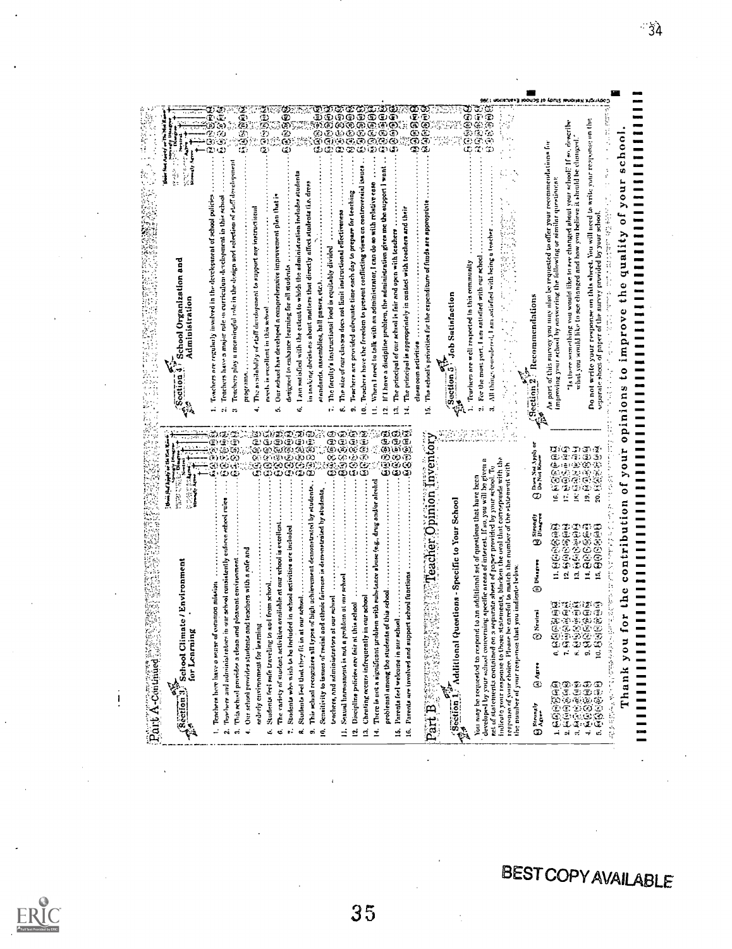| The availability of staff development to support my instructional<br>The principal of our school is fair and open with teachers<br>∍<br>qualit<br>The faculty's instructional load is equitably divided<br>For the most part. I am entiled with our school<br>School Organization and<br>not write your response on this sheet.<br>Teachers are well respected in this community<br>designed to enhance learning for all students<br>would like to<br>part of this survey you may also be requ<br>¢<br>passea, etc.<br>$\mathbf{r}$<br>Job Satisfaction<br>: Recommendations<br>Administration<br>needs is excellent in this school<br>prove<br>Is there something you<br>Teachers have a major role<br>standards, assemblies, hall<br>clasen com activities<br>İm<br>programn<br>ю<br>Section <sub>2</sub><br>on's<br>ź<br>Ġ<br>c.<br>တဲ<br>¢<br>é<br>e.<br>÷<br>0<br>c,<br>නගැනවතග<br>ගාගන<br>ගම<br>ගම<br>(E)<br>(A) (A)<br>Œ,<br>@ා ලා<br>田田田田<br>33<br>889<br>989<br>GO.<br><b>پهرنې دغ</b><br>ా<br>Ć.<br>ゆゆるのあ<br>(2) (3)<br>بين<br>G,<br>යා යා<br>œ.<br>İ,<br>Φ<br>Ð<br>٤<br>(字)<br>ă<br>(T)<br>$-20$<br>13)<br>මුගිගි<br>ගිරිග<br>≘∙ت)<br>Œ,<br>to match the number of the statement with<br>Dom Net Y<br>corresponde with<br>ගග<br>Φ<br>ග<br>٤<br>ගග<br>to an additional set of questions that have been<br>ତ୍ତ୍ୱ<br>ଜୟ<br>S,<br>ัธ<br>÷,<br>This school recognizes all types of high uchievement demonstrated by students.<br>i<br>NGC 13<br>and ethnic fairness is demonstrated by students<br>nomac<br>rning specific areas of interest. If so, you will<br>k<br>Φ<br>栏<br>ģ<br><u>ي</u><br>ø.<br>paper provided by your<br>Questions - Specific to Your School<br>ទ<br>Sirongi)<br>Dinagre<br>contributi<br>9999999999<br>39999999<br>luded in school activities are included<br>909999<br>D<br>stotements, blucken the oval<br>and teachers with a safe and<br>The rariety of student activities arailable at our school<br>in our school ronsietently<br>and pleasent custronment<br><b>IMagree</b><br>'School Climate / Environment<br>for Lenrning<br>at you indicate below<br>$\vec{a}$<br>ē.<br>pport school functions<br>Ξ<br>Ξ<br>ž<br>oblem with substance<br>muldem at our school<br>of common mission<br>to and from school<br>⊚<br>ts of this school<br>in our school<br>at our schud<br>at our rehim<br>-229<br>0000<br>229<br>Discipline policies are fair at this school<br>œ | روها<br>اه)<br>زن                                                                                                                                                                                  | 98899<br>Ē<br>Ğ.<br>وي<br>زي<br>$\infty$                                                                                                                                                                                    | 000000<br>٤<br>Ð<br>෯෯෧෧෧ඁ෧<br>෯෯෯෯෧<br>Œ,<br>ت<br>Ø)<br>Ġ,<br>මගගලගල<br>ာတာယာ<br>œ<br>ూ<br>نت                                                                                                                                                                                                                                                                              | $\mathcal{T} \subset \mathbb{R}$<br>ග<br>G<br>Š<br>is<br>S                                                                               | ΦĐ<br>Ф                                                     | reaponse un the<br><b>ACTIVE</b><br>高兴之<br>hoo<br>recommendations for<br>ll "hool"<br>O<br>to write your<br>$\mathbf{u}$<br>۰                                                                                                                                           |
|----------------------------------------------------------------------------------------------------------------------------------------------------------------------------------------------------------------------------------------------------------------------------------------------------------------------------------------------------------------------------------------------------------------------------------------------------------------------------------------------------------------------------------------------------------------------------------------------------------------------------------------------------------------------------------------------------------------------------------------------------------------------------------------------------------------------------------------------------------------------------------------------------------------------------------------------------------------------------------------------------------------------------------------------------------------------------------------------------------------------------------------------------------------------------------------------------------------------------------------------------------------------------------------------------------------------------------------------------------------------------------------------------------------------------------------------------------------------------------------------------------------------------------------------------------------------------------------------------------------------------------------------------------------------------------------------------------------------------------------------------------------------------------------------------------------------------------------------------------------------------------------------------------------------------------------------------------------------------------------------------------------------------------------------------------------------------------------------------------------------------------------------------------------------------------------------------------------------------------------------------------------------------------------------------------------------------------------------------------------------------------------------------------|----------------------------------------------------------------------------------------------------------------------------------------------------------------------------------------------------|-----------------------------------------------------------------------------------------------------------------------------------------------------------------------------------------------------------------------------|-----------------------------------------------------------------------------------------------------------------------------------------------------------------------------------------------------------------------------------------------------------------------------------------------------------------------------------------------------------------------------|------------------------------------------------------------------------------------------------------------------------------------------|-------------------------------------------------------------|-------------------------------------------------------------------------------------------------------------------------------------------------------------------------------------------------------------------------------------------------------------------------|
|                                                                                                                                                                                                                                                                                                                                                                                                                                                                                                                                                                                                                                                                                                                                                                                                                                                                                                                                                                                                                                                                                                                                                                                                                                                                                                                                                                                                                                                                                                                                                                                                                                                                                                                                                                                                                                                                                                                                                                                                                                                                                                                                                                                                                                                                                                                                                                                                          | Teachers play a meaningful role in the dosign and solection of staff development<br>Teachers are regularly involved in the development of school policies<br>curriculum development in this school | am satisfied with the extent to which the administration includes student<br>in inoking decistors about matters that directly affect students (i.e. dress<br>Our echoel has developed a comprehensive improvement plan that | When I need to talk with an administrator, I can do so with relative case<br>If I have a discipline problem, the administration gives me the support I<br>Teachers have the freedom to present conflicting views on confroversial<br>Teachers are provided adrequate time each day to prepare for teaching<br>The size of our classes does not limit instructional effectiv | The school's princities for the expenditure of funds are appropriat<br>The principal is appropriately in contact with teachers and their | All things consulered, I am astialized with being a teacher | what you would like to see changed and how you believe it should be changed<br>proving your school by answering the following or similar questions.<br>For changed Blood<br>separate shoot of pater of the survey provided by your school.<br>You will need<br>ka offer |
|                                                                                                                                                                                                                                                                                                                                                                                                                                                                                                                                                                                                                                                                                                                                                                                                                                                                                                                                                                                                                                                                                                                                                                                                                                                                                                                                                                                                                                                                                                                                                                                                                                                                                                                                                                                                                                                                                                                                                                                                                                                                                                                                                                                                                                                                                                                                                                                                          |                                                                                                                                                                                                    |                                                                                                                                                                                                                             |                                                                                                                                                                                                                                                                                                                                                                             |                                                                                                                                          |                                                             |                                                                                                                                                                                                                                                                         |
|                                                                                                                                                                                                                                                                                                                                                                                                                                                                                                                                                                                                                                                                                                                                                                                                                                                                                                                                                                                                                                                                                                                                                                                                                                                                                                                                                                                                                                                                                                                                                                                                                                                                                                                                                                                                                                                                                                                                                                                                                                                                                                                                                                                                                                                                                                                                                                                                          |                                                                                                                                                                                                    |                                                                                                                                                                                                                             |                                                                                                                                                                                                                                                                                                                                                                             |                                                                                                                                          |                                                             |                                                                                                                                                                                                                                                                         |

 $\frac{1}{2}$ 

 $-34$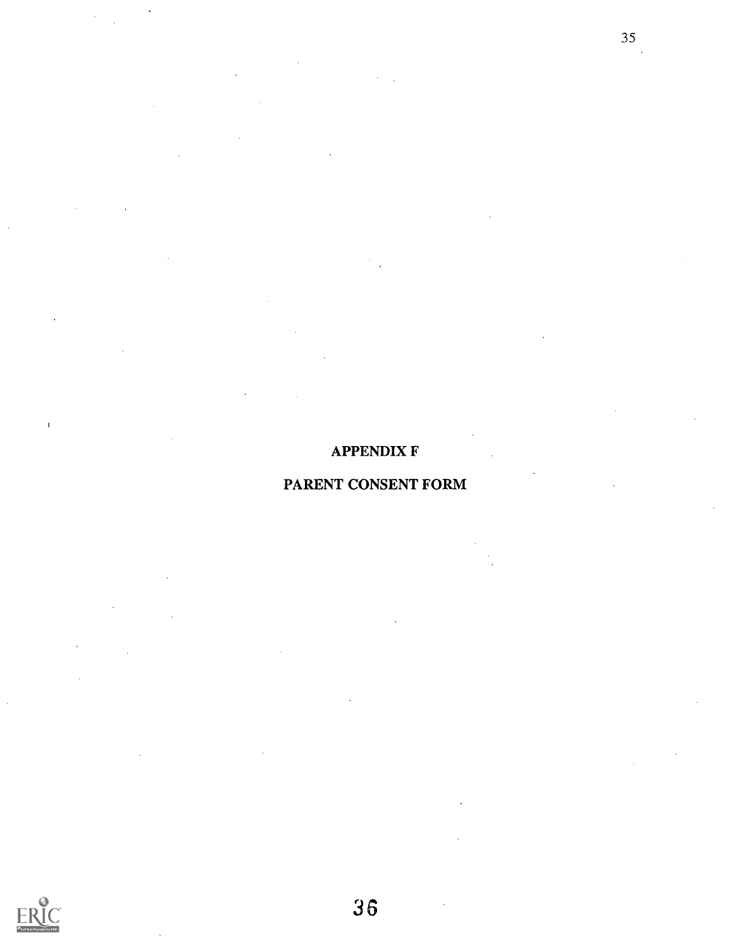## APPENDIX F

35

## PARENT CONSENT FORM

 $\bar{\bf r}$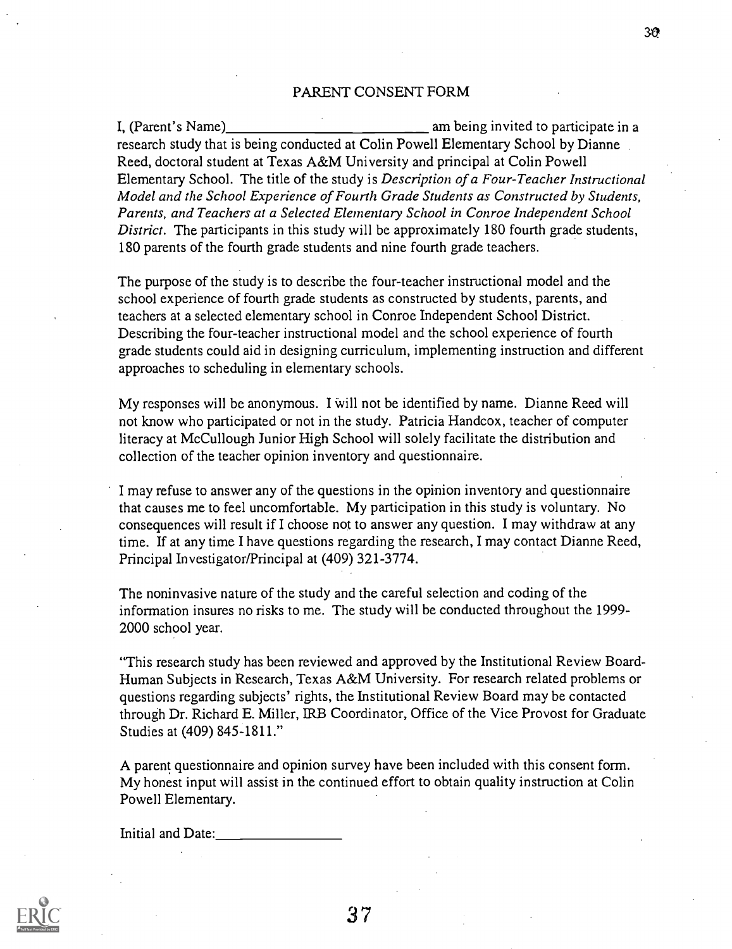#### PARENT CONSENT FORM

30

I, (Parent's Name) am being invited to participate in a research study that is being conducted at Colin Powell Elementary School by Dianne Reed, doctoral student at Texas A&M University and principal at Colin Powell Elementary School. The title of the study is Description of a Four-Teacher Instructional Model and the School Experience of Fourth Grade Students as Constructed by Students, Parents, and Teachers at a Selected Elementary School in Conroe Independent School District. The participants in this study will be approximately 180 fourth grade students, 180 parents of the fourth grade students and nine fourth grade teachers.

The purpose of the study is to describe the four-teacher instructional model and the school experience of fourth grade students as constructed by students, parents, and teachers at a selected elementary school in Conroe Independent School District. Describing the four-teacher instructional model and the school experience of fourth grade students could aid in designing curriculum, implementing instruction and different approaches to scheduling in elementary schools.

My responses will be anonymous. I will not be identified by name. Dianne Reed will not know who participated or not in the study. Patricia Handcox, teacher of computer literacy at McCullough Junior High School will solely facilitate the distribution and collection of the teacher opinion inventory and questionnaire.

I may refuse to answer any of the questions in the opinion inventory and questionnaire that causes me to feel uncomfortable. My participation in this study is voluntary. No consequences will result if I choose not to answer any question. I may withdraw at any time. If at any time I have questions regarding the research, I may contact Dianne Reed, Principal Investigator/Principal at (409) 321-3774.

The noninvasive nature of the study and the careful selection and coding of the information insures no risks to me. The study will be conducted throughout the 1999- 2000 school year.

"This research study has been reviewed and approved by the Institutional Review Board-Human Subjects in Research, Texas A&M University. For research related problems or questions regarding subjects' rights, the Institutional Review Board may be contacted through Dr. Richard E. Miller, IRB Coordinator, Office of the Vice Provost for Graduate Studies at (409) 845-1811."

A parent questionnaire and opinion survey have been included with this consent form. My honest input will assist in the continued effort to obtain quality instruction at Colin Powell Elementary.

Initial and Date:

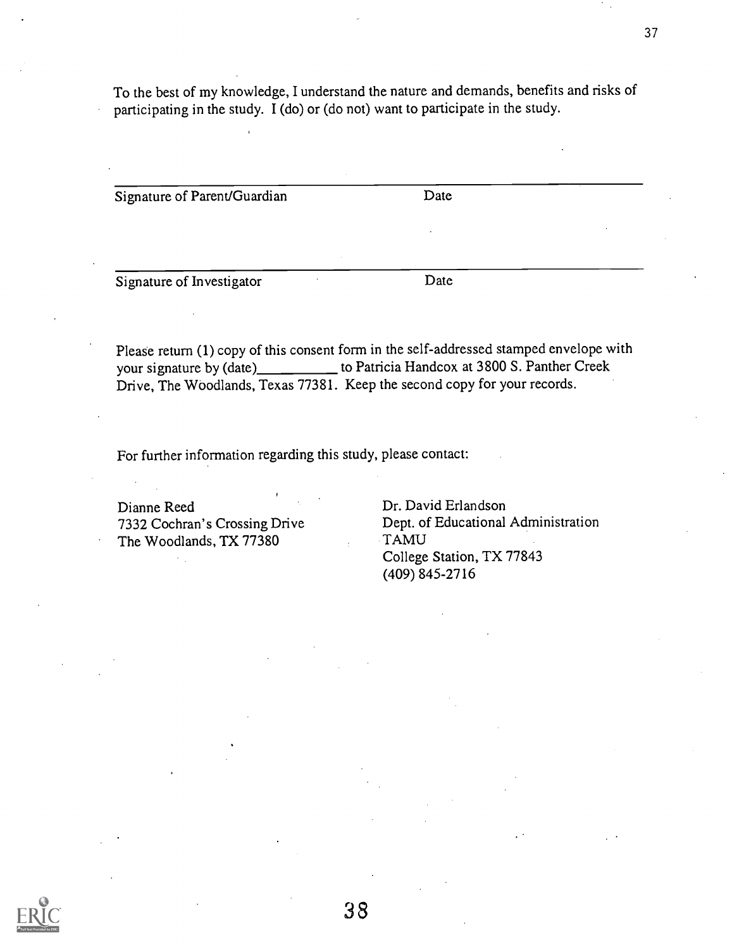To the best of my knowledge, I understand the nature and demands, benefits and risks of participating in the study. I (do) or (do not) want to participate in the study.

Signature of Parent/Guardian Date

Signature of Investigator Date

Please return (1) copy of this consent form in the self-addressed stamped envelope with your signature by (date)\_\_\_\_\_\_\_\_\_\_ to Patricia Handcox at 3800 S. Panther Creek Drive, The Woodlands, Texas 77381. Keep the second copy for your records.

For further information regarding this study, please contact:

Dianne Reed Dr. David Erlandson<br>
7332 Cochran's Crossing Drive Dept. of Educational The Woodlands, TX 77380

Dept. of Educational Administration<br>TAMU College Station, TX 77843 (409) 845-2716

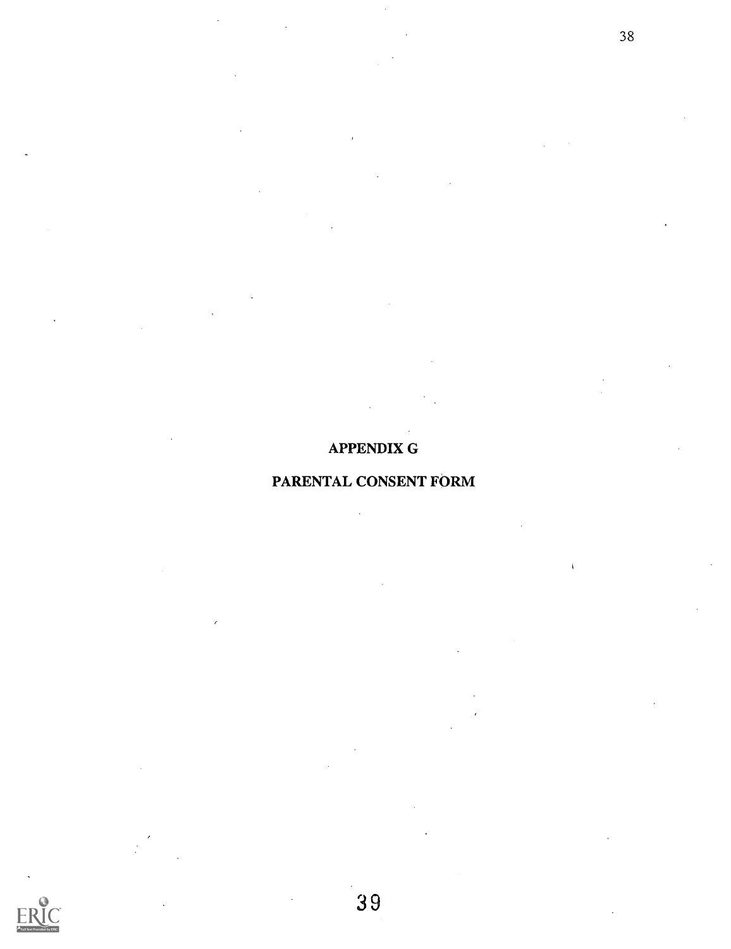## APPENDIX G

## PARENTAL CONSENT FORM

39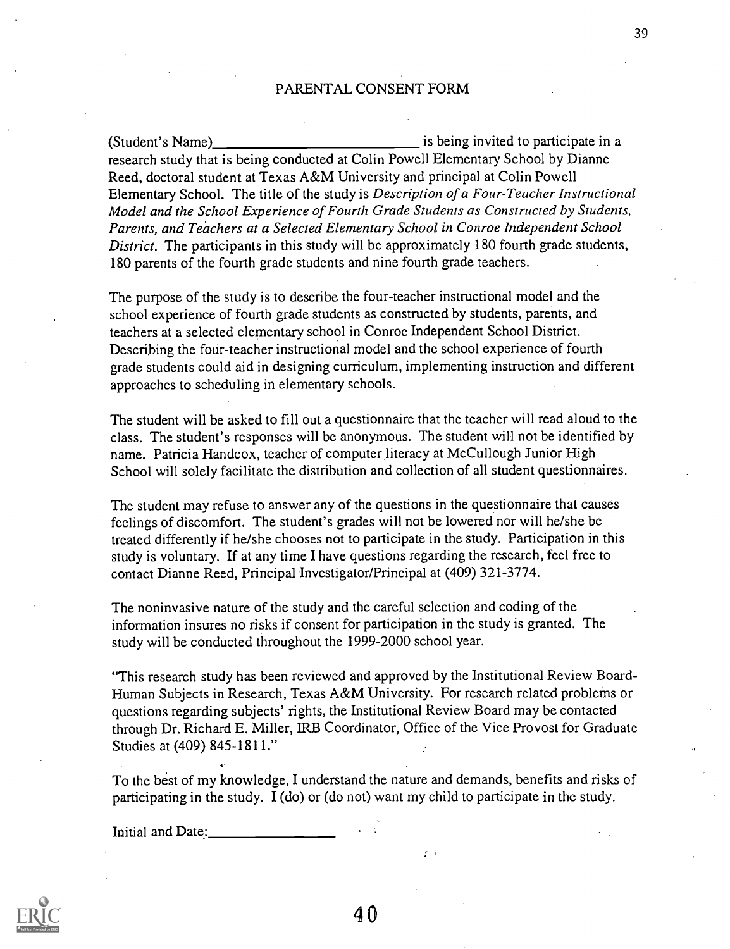#### PARENTAL CONSENT FORM

(Student's Name) is being invited to participate in a research study that is being conducted at Colin Powell Elementary School by Dianne Reed, doctoral student at Texas A&M University and principal at Colin Powell Elementary School. The title of the study is Description of a Four-Teacher Instructional Model and the School Experience of Fourth Grade Students as Constructed by Students, Parents, and Teachers at a Selected Elementary School in Conroe Independent School District. The participants in this study will be approximately 180 fourth grade students, 180 parents of the fourth grade students and nine fourth grade teachers.

The purpose of the study is to describe the four-teacher instructional model and the school experience of fourth grade students as constructed by students, parents, and teachers at a selected elementary school in Conroe Independent School District. Describing the four-teacher instructional model and the school experience of fourth grade students could aid in designing curriculum, implementing instruction and different approaches to scheduling in elementary schools.

The student will be asked to fill out a questionnaire that the teacher will read aloud to the class. The student's responses will be anonymous. The student will not be identified by name. Patricia Handcox, teacher of computer literacy at McCullough Junior High School will solely facilitate the distribution and collection of all student questionnaires.

The student may refuse to answer any of the questions in the questionnaire that causes feelings of discomfort. The student's grades will not be lowered nor will he/she be treated differently if he/she chooses not to participate in the study. Participation in this study is voluntary. If at any time I have questions regarding the research, feel free to contact Dianne Reed, Principal Investigator/Principal at (409) 321-3774.

The noninvasive nature of the study and the careful selection and coding of the information insures no risks if consent for participation in the study is granted. The study will be conducted throughout the 1999-2000 school year.

"This research study has been reviewed and approved by the Institutional Review Board-Human Subjects in Research, Texas A&M University. For research related problems or questions regarding subjects' rights, the Institutional Review Board may be contacted through Dr. Richard E. Miller, IRB Coordinator, Office of the Vice Provost for Graduate Studies at (409) 845-1811."

To the best of my knowledge, I understand the nature and demands, benefits and risks of participating in the study. I (do) or (do not) want my child to participate in the study.

Initial and Date:

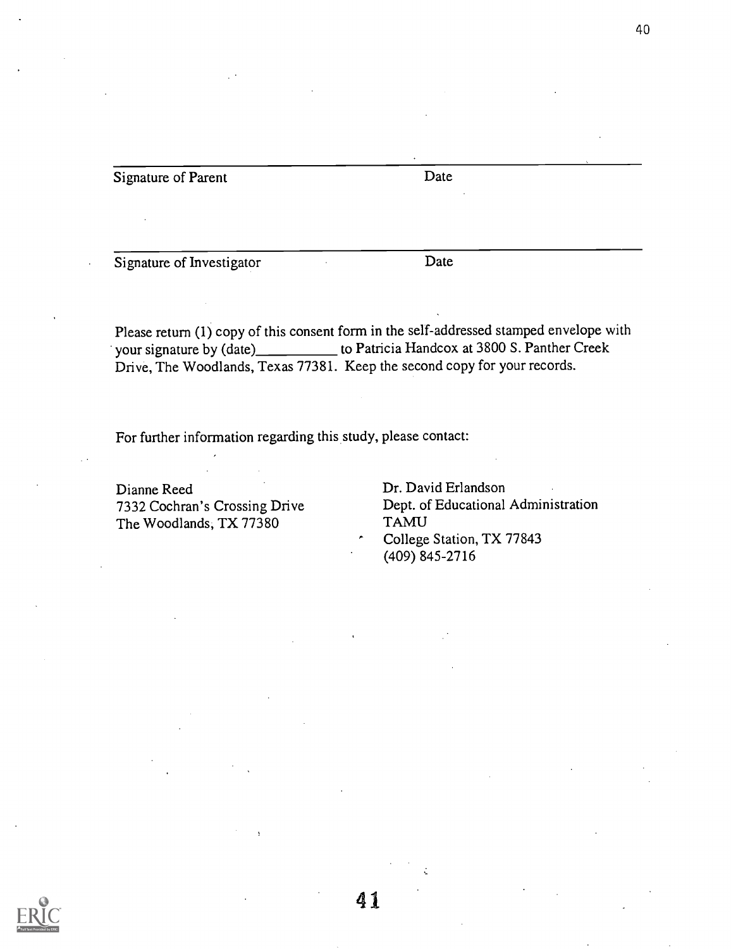Signature of Parent Date

Signature of Investigator Date

Please return (1) copy of this consent form in the self-addressed stamped envelope with your signature by (date)\_\_\_\_\_\_\_\_\_\_\_\_ to Patricia Handcox at 3800 S. Panther Creek Drive, The Woodlands, Texas 77381. Keep the second copy for your records.

41

For further information regarding this study, please contact:

Dianne Reed Dr. David Erlandson<br>
2332 Cochran's Crossing Drive Dept. of Educational The Woodlands, TX 77380

Dept. of Educational Administration<br>TAMU College Station, TX 77843 (409) 845-2716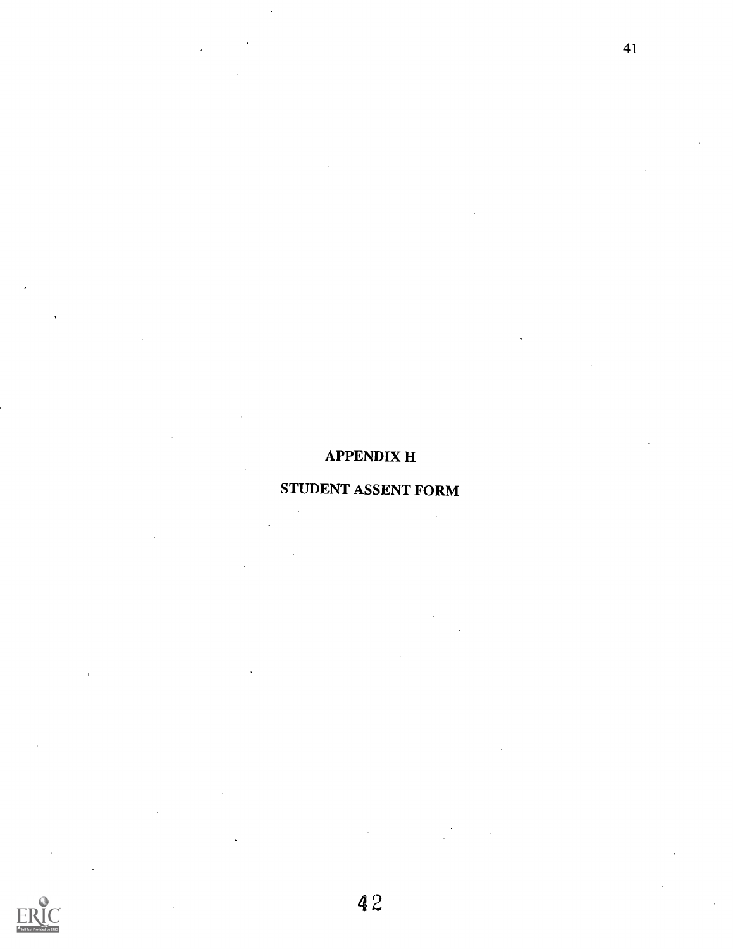## APPENDIX H

41

## STUDENT ASSENT FORM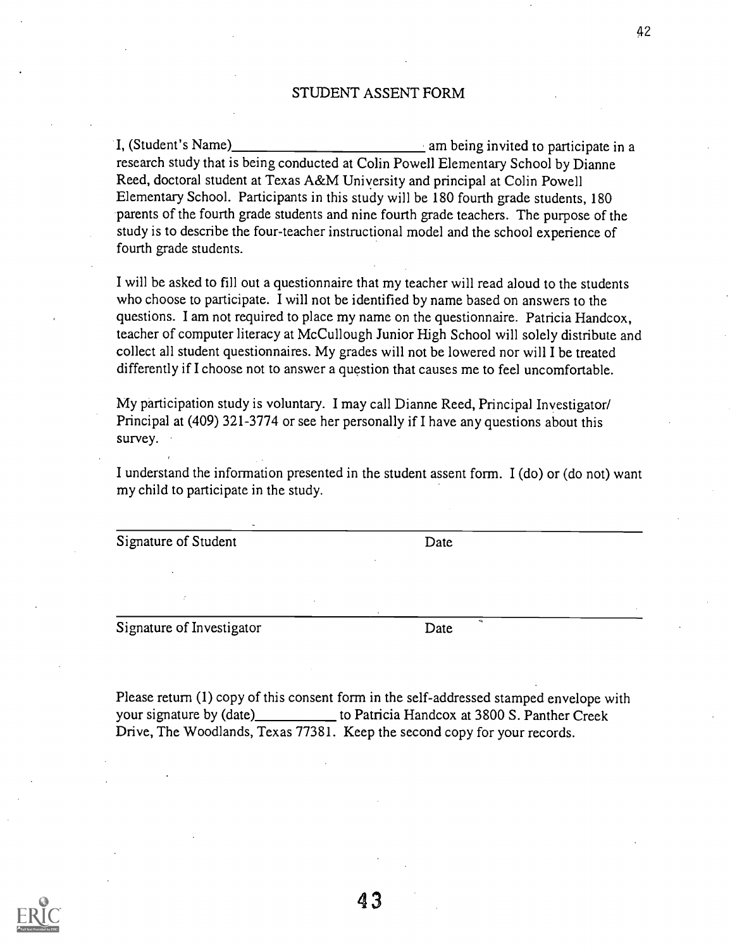#### STUDENT ASSENT FORM

I, (Student's Name) <u>\_\_\_\_\_\_\_\_\_\_\_\_\_\_\_\_\_\_\_\_\_\_\_\_\_\_\_</u> am being invited to participate in a research study that is being conducted at Colin Powell Elementary School by Dianne Reed, doctoral student at Texas A&M University and principal at Colin Powell Elementary School. Participants in this study will be 180 fourth grade students, 180 parents of the fourth grade students and nine fourth grade teachers. The purpose of the study is to describe the four-teacher instructional model and the school experience of fourth grade students.

I will be asked to fill out a questionnaire that my teacher will read aloud to the students who choose to participate. I will not be identified by name based on answers to the questions. I am not required to place my name on the questionnaire. Patricia Handcox, teacher of computer literacy at McCullough Junior High School will solely distribute and collect all student questionnaires. My grades will not be lowered nor will I be treated differently if I choose not to answer a question that causes me to feel uncomfortable.

My participation study is voluntary. I may call Dianne Reed, Principal Investigator/ Principal at (409) 321-3774 or see her personally if I have any questions about this survey.

I understand the information presented in the student assent form. I (do) or (do not) want my child to participate in the study.

Signature of Student Date

Signature of Investigator Date

Please return (1) copy of this consent form in the self-addressed stamped envelope with your signature by (date) to Patricia Handcox at 3800 S. Panther Creek Drive, The Woodlands, Texas 77381. Keep the second copy for your records.

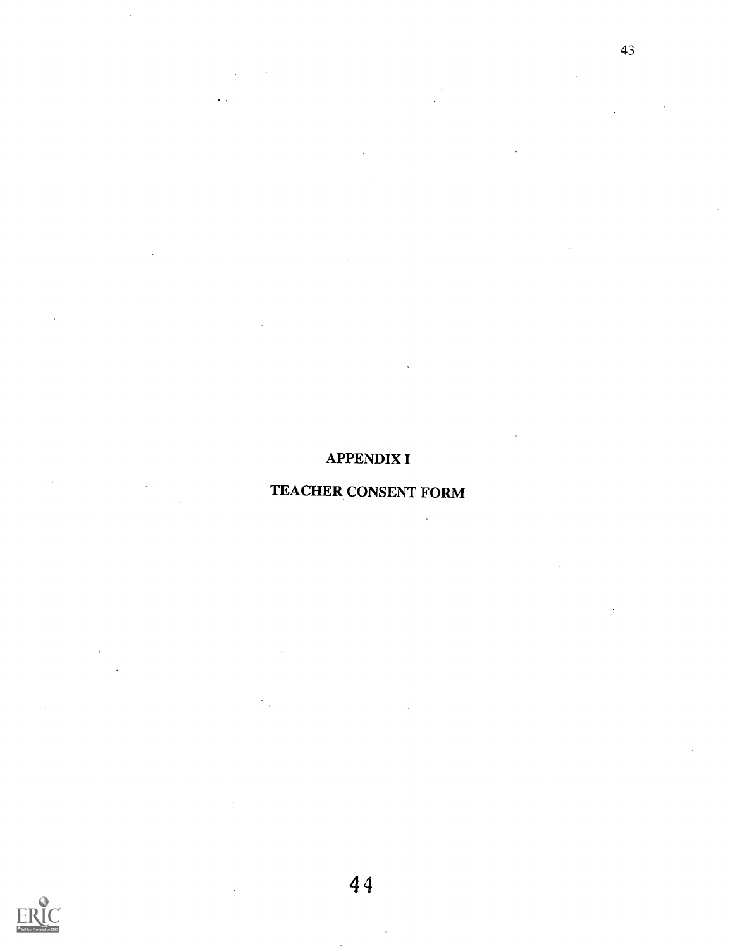# APPENDIX I

## TEACHER CONSENT FORM

 $\overline{\phantom{a}}$  $\ddot{\phantom{a}}$ 



 $\ddot{\phantom{1}}$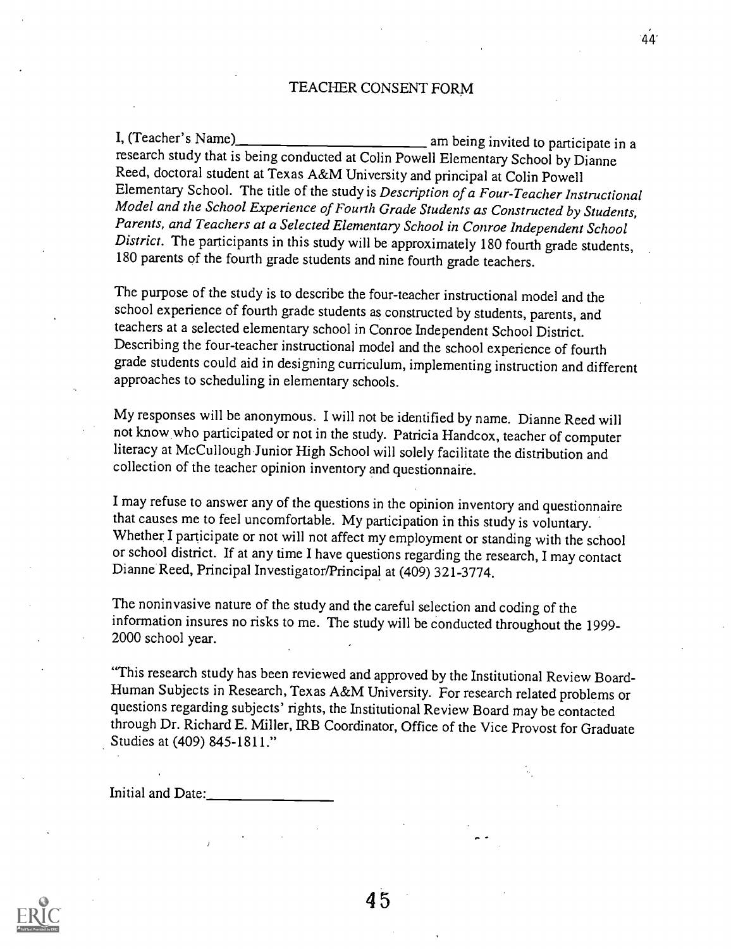### TEACHER CONSENT FORM

44.

I, (Teacher's Name) am being invited to participate in a research study that is being conducted at Colin Powell Elementary School by Dianne Reed, doctoral student at Texas A&M University and principal at Colin Powell Elementary School. The title of the study is Description of a Four-Teacher Instructional Model and the School Experience of Fourth Grade Students as Constructed by Students, Parents, and Teachers at a Selected Elementary School in Conroe Independent School District. The participants in this study will be approximately 180 fourth grade students, 180 parents of the fourth grade students and nine fourth grade teachers.

The purpose of the study is to describe the four-teacher instructional model and the school experience of fourth grade students as constructed by students, parents, and teachers at a selected elementary school in Conroe Independent School District. Describing the four-teacher instructional model and the school experience of fourth grade students could aid in designing curriculum, implementing instruction and different approaches to scheduling in elementary schools.

My responses will be anonymous. I will not be identified by name. Dianne Reed will not know who participated or not in the study. Patricia Handcox, teacher of computer literacy at McCullough Junior High School will solely facilitate the distribution and collection of the teacher opinion inventory and questionnaire.

I may refuse to answer any of the questions in the opinion inventory and questionnaire that causes me to feel uncomfortable. My participation in this study is voluntary. Whether I participate or not will not affect my employment or standing with the school or school district. If at any time I have questions regarding the research, Imay contact Dianne'Reed, Principal Investigator/Principal at (409) 321-3774.

The noninvasive nature of the study and the careful selection and coding of the information insures no risks to me. The study will be conducted throughout the 1999- 2000 school year.

"This research study has been reviewed and approved by the Institutional Review Board-Human Subjects in Research, Texas A&M University. For research related problems or questions regarding subjects' rights, the Institutional Review Board may be contacted through Dr. Richard E. Miller, IRB Coordinator, Office of the Vice Provost for Graduate Studies at (409) 845-1811."

Initial and Date:

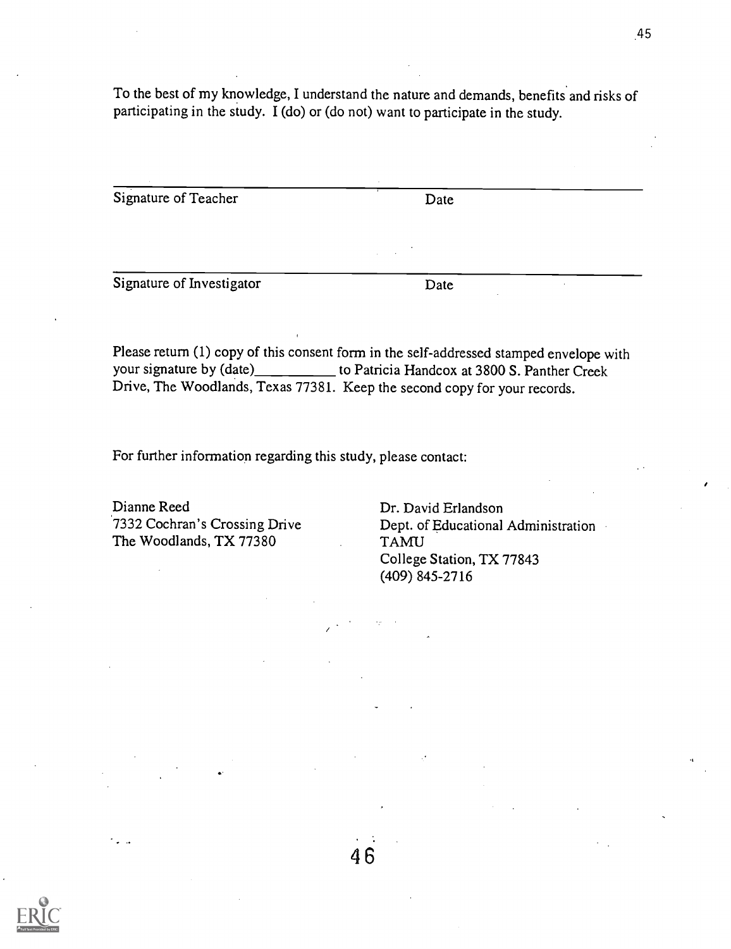To the best of my knowledge, I understand the nature and demands, benefits and risks of participating in the study. I (do) or (do not) want to participate in the study.

Signature of Teacher Date Date

Signature of Investigator Date

Please return (1) copy of this consent form in the self-addressed stamped envelope with your signature by (date)\_\_\_\_\_\_\_\_\_ to Patricia Handcox at 3800 S. Panther Creek Drive, The Woodlands, Texas 77381. Keep the second copy for your records.

46

For further information regarding this study, please contact:

Dianne Reed Dr. David Erlandson<br>
7332 Cochran's Crossing Drive Dept. of Educational The Woodlands, TX 77380 TAMU

Dept. of Educational Administration College Station, TX 77843 (409) 845-2716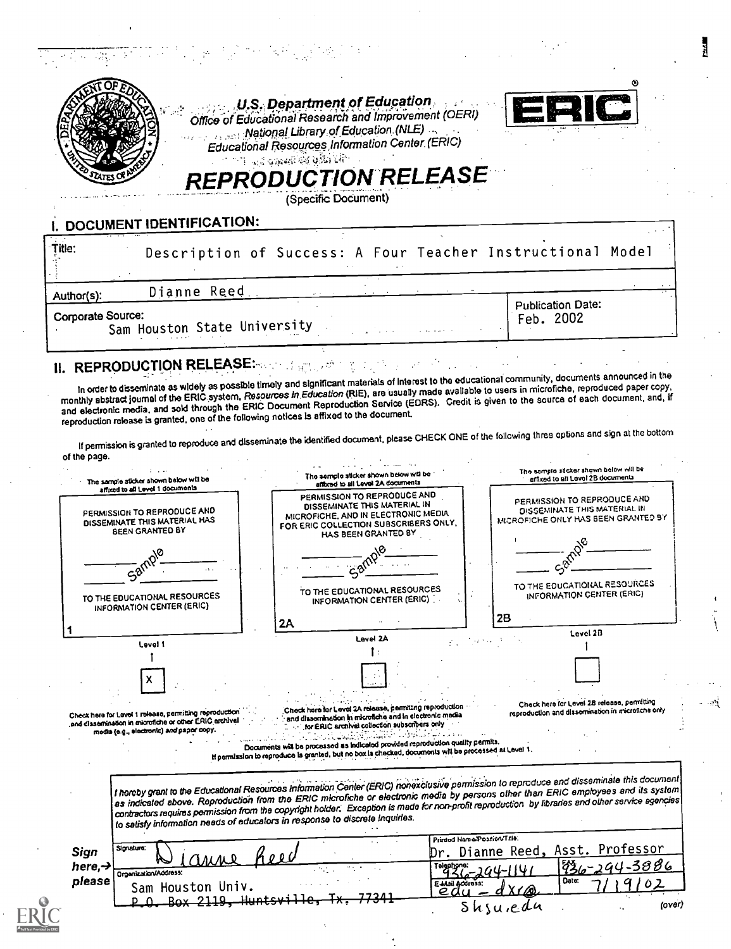|                          | 남자는 아빠 아이들은 어머니는 어머니께서 아직 사람들이 아주 있다.                                                                                                 |                          |  |
|--------------------------|---------------------------------------------------------------------------------------------------------------------------------------|--------------------------|--|
|                          | U.S. Department of Education<br>Office of Educational Research and Improvement (OERI)<br>Mational Library of Education (NLE)          |                          |  |
|                          | Educational Resources Information Center (ERIC)<br><b>CONTRACTOR OF ALL PROPERTY OF STATE OF STATE</b><br><b>REPRODUCTION RELEASE</b> |                          |  |
| DOCUMENT IDENTIFICATION: | (Specific Document)                                                                                                                   |                          |  |
| Title:                   | Description of Success: A Four Teacher Instructional Model                                                                            |                          |  |
| Author(s):               | Dianne Reed.                                                                                                                          | <b>Publication Date:</b> |  |
| Corporate Source:        | Sam Houston State University                                                                                                          | Feb. 2002                |  |

# II. REPRODUCTION RELEASE:

In order to disseminate as widely as possible timely and significant materials of Interest to the educational community, documents announced in the<br>In order to disseminate as widely as possible timely and significant mater In order to disseminate as widely as possible threny and organization (RIE), are usually made available to users in microfiche, reproduced paper copy,<br>monthly abstract journal of the ERIC system, Resources in Education Ser monthly abstract journal of the ERIC system, Resources in Education (Fuc), the security measurement is given to the source of each document, and, if<br>and electronic media, and sold through the ERIC Document Reproduction Ser reproduction release is granted, one of the following notices Is affixed to the document

, 28

If permission is granted to reproduce and disseminate the identified document, please CHECK ONE of the following three options and sign at the bottom of the page.

| The sample sticker shown below will be<br>affixed to all Level 1 documents                                                                                    | The semple sticker shown below will be<br>affixed to all Level 2A documents                                                                                                                                                                                                                                                                                      | The sample sticker shown below will be<br>affixed to all Level 2B documents                                                                                                                                                                                                                                                                                                                                                               |
|---------------------------------------------------------------------------------------------------------------------------------------------------------------|------------------------------------------------------------------------------------------------------------------------------------------------------------------------------------------------------------------------------------------------------------------------------------------------------------------------------------------------------------------|-------------------------------------------------------------------------------------------------------------------------------------------------------------------------------------------------------------------------------------------------------------------------------------------------------------------------------------------------------------------------------------------------------------------------------------------|
| PERMISSION TO REPRODUCE AND<br>DISSEMINATE THIS MATERIAL HAS<br><b>BEEN GRANTED BY</b>                                                                        | PERMISSION TO REPRODUCE AND<br>DISSEMINATE THIS MATERIAL IN<br>MICROFICHE, AND IN ELECTRONIC MEDIA<br>FOR ERIC COLLECTION SUBSCRIBERS ONLY,<br>HAS BEEN GRANTED BY                                                                                                                                                                                               | PERMISSION TO REPRODUCE AND<br>DISSEMINATE THIS MATERIAL IN<br>MICROFICHE ONLY HAS BEEN GRANTED BY                                                                                                                                                                                                                                                                                                                                        |
|                                                                                                                                                               |                                                                                                                                                                                                                                                                                                                                                                  |                                                                                                                                                                                                                                                                                                                                                                                                                                           |
| TO THE EDUCATIONAL RESOURCES<br>INFORMATION CENTER (ERIC)                                                                                                     | TO THE EDUCATIONAL RESOURCES<br>INFORMATION CENTER (ERIC)                                                                                                                                                                                                                                                                                                        | TO THE EDUCATIONAL RESOURCES<br>INFORMATION CENTER (ERIC)                                                                                                                                                                                                                                                                                                                                                                                 |
|                                                                                                                                                               | 2A                                                                                                                                                                                                                                                                                                                                                               | 2B                                                                                                                                                                                                                                                                                                                                                                                                                                        |
|                                                                                                                                                               | Lavel 2A                                                                                                                                                                                                                                                                                                                                                         | Level 2B                                                                                                                                                                                                                                                                                                                                                                                                                                  |
| Level 1                                                                                                                                                       |                                                                                                                                                                                                                                                                                                                                                                  |                                                                                                                                                                                                                                                                                                                                                                                                                                           |
|                                                                                                                                                               |                                                                                                                                                                                                                                                                                                                                                                  |                                                                                                                                                                                                                                                                                                                                                                                                                                           |
|                                                                                                                                                               |                                                                                                                                                                                                                                                                                                                                                                  | Check here for Level 28 release, permitting                                                                                                                                                                                                                                                                                                                                                                                               |
| Check here for Level 1 release, permitting reproduction<br>and dissemination in microfiche or other ERIC archival<br>media (e.g., electronic) and paper copy. | Check here for Level 2A release, permitting reproduction<br>and dissemination in microfiche and in electronic media<br>for ERIC archival collection subscribers only<br>Documents will be processed as indicated provided reproduction quality permits.<br>If permission to reproduce is granted, but no box is checked, documents will be processed at Level 1. | reproduction and dissermention in microfiche only                                                                                                                                                                                                                                                                                                                                                                                         |
|                                                                                                                                                               | to satisfy information needs of educators in response to discrete Inquiries.                                                                                                                                                                                                                                                                                     | I hereby grant to the Educational Resources Information Center (ERIC) nonexclusive permission to reproduce and disseminate this document<br>as indicated above. Reproduction from the ERIC microfiche or electronic media by persons other then ERIC employees and its system $\vert$<br>contractors requires permission from the copyright holder. Exception is made for non-profit reproduction by libraries and other service agencies |
| Signature:<br>Sign                                                                                                                                            |                                                                                                                                                                                                                                                                                                                                                                  | Printed Nama/Position/Trie.<br>Dr. Dianne Reed, Asst. Professor                                                                                                                                                                                                                                                                                                                                                                           |
| here, $\rightarrow$                                                                                                                                           |                                                                                                                                                                                                                                                                                                                                                                  | 4-3886                                                                                                                                                                                                                                                                                                                                                                                                                                    |
| Organization/Address:<br>please                                                                                                                               | E Mail Accross:                                                                                                                                                                                                                                                                                                                                                  | Date:                                                                                                                                                                                                                                                                                                                                                                                                                                     |
| Sam Houston Univ.<br><u>Box 2119. Hunts</u> v                                                                                                                 | $e$ d                                                                                                                                                                                                                                                                                                                                                            | (over)<br>Shjuican                                                                                                                                                                                                                                                                                                                                                                                                                        |